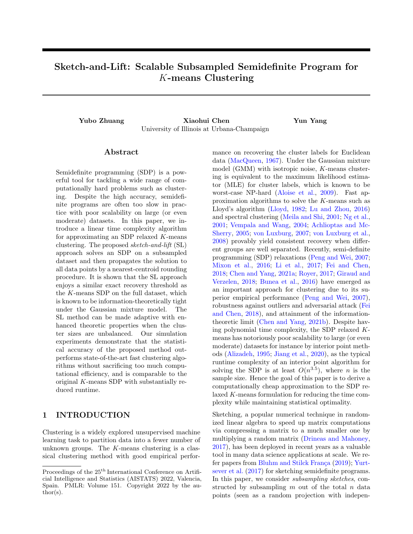# Sketch-and-Lift: Scalable Subsampled Semidefinite Program for K-means Clustering

Yubo Zhuang Xiaohui Chen Yun Yang University of Illinois at Urbana-Champaign

### Abstract

Semidefinite programming (SDP) is a powerful tool for tackling a wide range of computationally hard problems such as clustering. Despite the high accuracy, semidefinite programs are often too slow in practice with poor scalability on large (or even moderate) datasets. In this paper, we introduce a linear time complexity algorithm for approximating an SDP relaxed K-means clustering. The proposed sketch-and-lift (SL) approach solves an SDP on a subsampled dataset and then propagates the solution to all data points by a nearest-centroid rounding procedure. It is shown that the SL approach enjoys a similar exact recovery threshold as the K-means SDP on the full dataset, which is known to be information-theoretically tight under the Gaussian mixture model. The SL method can be made adaptive with enhanced theoretic properties when the cluster sizes are unbalanced. Our simulation experiments demonstrate that the statistical accuracy of the proposed method outperforms state-of-the-art fast clustering algorithms without sacrificing too much computational efficiency, and is comparable to the original K-means SDP with substantially reduced runtime.

# 1 INTRODUCTION

Clustering is a widely explored unsupervised machine learning task to partition data into a fewer number of unknown groups. The  $K$ -means clustering is a classical clustering method with good empirical performance on recovering the cluster labels for Euclidean data [\(MacQueen,](#page-9-0) [1967\)](#page-9-0). Under the Gaussian mixture model (GMM) with isotropic noise, K-means clustering is equivalent to the maximum likelihood estimator (MLE) for cluster labels, which is known to be worst-case NP-hard [\(Aloise et al.,](#page-8-0) [2009\)](#page-8-0). Fast approximation algorithms to solve the K-means such as Lloyd's algorithm [\(Lloyd,](#page-9-0) [1982;](#page-9-0) [Lu and Zhou,](#page-9-0) [2016\)](#page-9-0) and spectral clustering [\(Meila and Shi,](#page-9-0) [2001;](#page-9-0) [Ng et al.,](#page-9-0) [2001;](#page-9-0) [Vempala and Wang,](#page-9-0) [2004;](#page-9-0) [Achlioptas and Mc-](#page-8-0)[Sherry,](#page-8-0) [2005;](#page-8-0) [von Luxburg,](#page-9-0) [2007;](#page-9-0) [von Luxburg et al.,](#page-10-0) [2008\)](#page-10-0) provably yield consistent recovery when different groups are well separated. Recently, semi-definite programming (SDP) relaxations [\(Peng and Wei,](#page-9-0) [2007;](#page-9-0) [Mixon et al.,](#page-9-0) [2016;](#page-9-0) [Li et al.,](#page-9-0) [2017;](#page-9-0) [Fei and Chen,](#page-9-0) [2018;](#page-9-0) [Chen and Yang,](#page-9-0) [2021a;](#page-9-0) [Royer,](#page-9-0) [2017;](#page-9-0) [Giraud and](#page-9-0) [Verzelen,](#page-9-0) [2018;](#page-9-0) [Bunea et al.,](#page-9-0) [2016\)](#page-9-0) have emerged as an important approach for clustering due to its superior empirical performance [\(Peng and Wei,](#page-9-0) [2007\)](#page-9-0), robustness against outliers and adversarial attack [\(Fei](#page-9-0) [and Chen,](#page-9-0) [2018\)](#page-9-0), and attainment of the informationtheoretic limit [\(Chen and Yang,](#page-9-0) [2021b\)](#page-9-0). Despite having polynomial time complexity, the SDP relaxed Kmeans has notoriously poor scalability to large (or even moderate) datasets for instance by interior point methods [\(Alizadeh,](#page-8-0) [1995;](#page-8-0) [Jiang et al.,](#page-9-0) [2020\)](#page-9-0), as the typical runtime complexity of an interior point algorithm for solving the SDP is at least  $O(n^{3.5})$ , where *n* is the sample size. Hence the goal of this paper is to derive a computationally cheap approximation to the SDP relaxed K-means formulation for reducing the time complexity while maintaining statistical optimality.

Sketching, a popular numerical technique in randomized linear algebra to speed up matrix computations via compressing a matrix to a much smaller one by multiplying a random matrix [\(Drineas and Mahoney,](#page-9-0) [2017\)](#page-9-0), has been deployed in recent years as a valuable tool in many data science applications at scale. We refer papers from Bluhm and Stilck França  $(2019)$ ; [Yurt](#page-10-0)[sever et al.](#page-10-0) [\(2017\)](#page-10-0) for sketching semidefinite programs. In this paper, we consider subsampling sketches, constructed by subsampling  $m$  out of the total  $n$  data points (seen as a random projection with indepen-

Proceedings of the  $25<sup>th</sup>$  International Conference on Artificial Intelligence and Statistics (AISTATS) 2022, Valencia, Spain. PMLR: Volume 151. Copyright 2022 by the au- $\text{thor}(s)$ .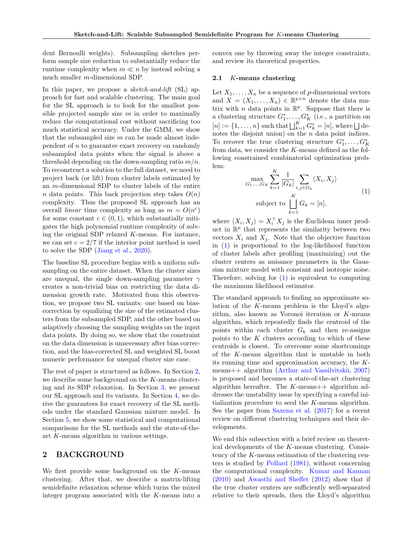<span id="page-1-0"></span>dent Bernoulli weights). Subsampling sketches perform sample size reduction to substantially reduce the runtime complexity when  $m \ll n$  by instead solving a much smaller m-dimensional SDP.

In this paper, we propose a *sketch-and-lift* (SL) approach for fast and scalable clustering. The main goal for the SL approach is to look for the smallest possible projected sample size  $m$  in order to maximally reduce the computational cost without sacrificing too much statistical accuracy. Under the GMM, we show that the subsampled size  $m$  can be made almost independent of  $n$  to guarantee exact recovery on randomly subsampled data points when the signal is above a threshold depending on the down-sampling ratio  $m/n$ . To reconstruct a solution to the full dataset, we need to project back (or lift) from cluster labels estimated by an m-dimensional SDP to cluster labels of the entire n data points. This back projection step takes  $O(n)$ complexity. Thus the proposed SL approach has an overall *linear* time complexity as long as  $m = O(n^c)$ for some constant  $c \in (0, 1)$ , which substantially mitigates the high polynomial runtime complexity of solving the original SDP relaxed K-means. For instance, we can set  $c = 2/7$  if the interior point method is used to solve the SDP [\(Jiang et al.,](#page-9-0) [2020\)](#page-9-0).

The baseline SL procedure begins with a uniform subsampling on the entire dataset. When the cluster sizes are unequal, the single down-sampling parameter  $\gamma$ creates a non-trivial bias on restricting the data dimension growth rate. Motivated from this observation, we propose two SL variants: one based on biascorrection by equalizing the size of the estimated clusters from the subsampled SDP, and the other based on adaptively choosing the sampling weights on the input data points. By doing so, we show that the constraint on the data dimension is unnecessary after bias correction, and the bias-corrected SL and weighted SL boost numeric performance for unequal cluster size case.

The rest of paper is structured as follows. In Section 2, we describe some background on the K-means clustering and its SDP relaxation. In Section [3,](#page-2-0) we present our SL approach and its variants. In Section [4,](#page-5-0) we derive the guarantees for exact recovery of the SL methods under the standard Gaussian mixture model. In Section [5,](#page-6-0) we show some statistical and computational comparisons for the SL methods and the state-of-theart K-means algorithm in various settings.

## 2 BACKGROUND

We first provide some background on the  $K$ -means clustering. After that, we describe a matrix-lifting semidefinite relaxation scheme which turns the mixed integer program associated with the K-means into a convex one by throwing away the integer constraints, and review its theoretical properties.

#### 2.1 K-means clustering

Let  $X_1, \ldots, X_n$  be a sequence of p-dimensional vectors and  $X = (X_1, \ldots, X_n) \in \mathbb{R}^{p \times n}$  denote the data matrix with *n* data points in  $\mathbb{R}^p$ . Suppose that there is a clustering structure  $G_1^*, \ldots, G_K^*$  (i.e., a partition on  $[n] := \{1, \ldots, n\}$  such that  $\bigsqcup_{k=1}^K G_k^* = [n]$ , where  $\bigsqcup$  denotes the disjoint union) on the  $n$  data point indices. To recover the true clustering structure  $G_1^*, \ldots, G_K^*$ from data, we consider the K-means defined as the following constrained combinatorial optimization problem:

$$
\max_{G_1, \dots, G_K} \sum_{k=1}^K \frac{1}{|G_k|} \sum_{i,j \in G_k} \langle X_i, X_j \rangle
$$
\nsubject to 
$$
\bigsqcup_{k=1}^K G_k = [n],
$$
\n(1)

where  $\langle X_i, X_j \rangle = X_i^{\top} X_j$  is the Euclidean inner product in  $\mathbb{R}^p$  that represents the similarity between two vectors  $X_i$  and  $X_j$ . Note that the objective function in (1) is proportional to the log-likelihood function of cluster labels after profiling (maximizing) out the cluster centers as nuisance parameters in the Gaussian mixture model with constant and isotropic noise. Therefore, solving for  $(1)$  is equivalent to computing the maximum likelihood estimator.

The standard approach to finding an approximate solution of the K-means problem is the Lloyd's algorithm, also known as Voronoi iteration or K-means algorithm, which repeatedly finds the centroid of the points within each cluster  $G_k$  and then re-assigns points to the  $K$  clusters according to which of these centroids is closest. To overcome some shortcomings of the K-means algorithm that is unstable in both its running time and approximation accuracy, the Kmeans++ algorithm [\(Arthur and Vassilvitskii,](#page-8-0) [2007\)](#page-8-0) is proposed and becomes a state-of-the-art clustering algorithm hereafter. The  $K$ -means++ algorithm addresses the unstability issue by specifying a careful initialization procedure to seed the K-means algorithm. See the paper from [Saxena et al.](#page-9-0) [\(2017\)](#page-9-0) for a recent review on different clustering techniques and their developments.

We end this subsection with a brief review on theoretical developments of the K-means clustering. Consistency of the K-means estimation of the clustering centers is studied by [Pollard](#page-9-0) [\(1981\)](#page-9-0), without concerning the computational complexity. [Kumar and Kannan](#page-9-0) [\(2010\)](#page-9-0) and [Awasthi and Sheffet](#page-8-0) [\(2012\)](#page-8-0) show that if the true cluster centers are sufficiently well-separated relative to their spreads, then the Lloyd's algorithm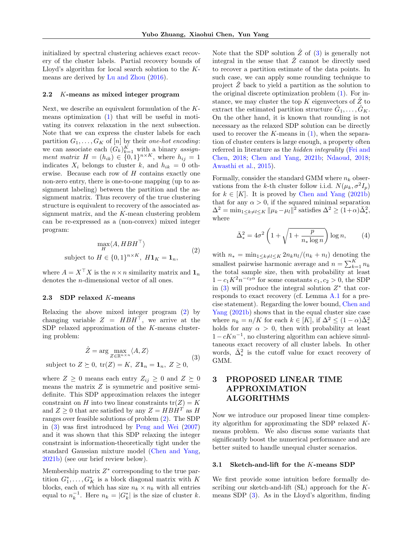<span id="page-2-0"></span>initialized by spectral clustering achieves exact recovery of the cluster labels. Partial recovery bounds of Lloyd's algorithm for local search solution to the Kmeans are derived by [Lu and Zhou](#page-9-0) [\(2016\)](#page-9-0).

#### 2.2 K-means as mixed integer program

Next, we describe an equivalent formulation of the Kmeans optimization [\(1\)](#page-1-0) that will be useful in motivating its convex relaxation in the next subsection. Note that we can express the cluster labels for each partition  $G_1, \ldots, G_K$  of [n] by their one-hot encoding: we can associate each  $(G_k)_{k=1}^K$  with a binary assignment matrix  $H = (h_{ik}) \in \{0,1\}^{n \times K}$ , where  $h_{ij} = 1$ indicates  $X_i$  belongs to cluster k, and  $h_{ik} = 0$  otherwise. Because each row of  $H$  contains exactly one non-zero entry, there is one-to-one mapping (up to assignment labeling) between the partition and the assignment matrix. Thus recovery of the true clustering structure is equivalent to recovery of the associated assignment matrix, and the K-mean clustering problem can be re-expressed as a (non-convex) mixed integer program:

$$
\max_{H} \langle A, HBH^{\top} \rangle
$$
  
subject to  $H \in \{0, 1\}^{n \times K}, H\mathbf{1}_{K} = \mathbf{1}_{n},$  (2)

where  $A = X^{\top} X$  is the  $n \times n$  similarity matrix and  $\mathbf{1}_n$ denotes the n-dimensional vector of all ones.

#### 2.3 SDP relaxed K-means

Relaxing the above mixed integer program (2) by changing variable  $Z = H \overline{B} H^{\top}$ , we arrive at the SDP relaxed approximation of the  $K$ -means clustering problem:

$$
\hat{Z} = \arg \max_{Z \in \mathbb{R}^{n \times n}} \langle A, Z \rangle
$$
  
subject to  $Z \succeq 0$ ,  $tr(Z) = K$ ,  $Z\mathbf{1}_n = \mathbf{1}_n$ ,  $Z \ge 0$ , (3)

where  $Z \geq 0$  means each entry  $Z_{ij} \geq 0$  and  $Z \succeq 0$ means the matrix  $Z$  is symmetric and positive semidefinite. This SDP approximation relaxes the integer constraint on H into two linear constraints  $tr(Z) = K$ and  $Z \geq 0$  that are satisfied by any  $Z = H \cdot H \cdot H$  as H ranges over feasible solutions of problem (2). The SDP in (3) was first introduced by [Peng and Wei](#page-9-0) [\(2007\)](#page-9-0) and it was shown that this SDP relaxing the integer constraint is information-theoretically tight under the standard Gaussian mixture model [\(Chen and Yang,](#page-9-0) [2021b\)](#page-9-0) (see our brief review below).

Membership matrix  $Z^*$  corresponding to the true partition  $G_1^*, \ldots, G_K^*$  is a block diagonal matrix with K blocks, each of which has size  $n_k \times n_k$  with all entries equal to  $n_k^{-1}$ . Here  $n_k = |G_k^*|$  is the size of cluster k.

Note that the SDP solution  $\hat{Z}$  of (3) is generally not integral in the sense that  $\hat{Z}$  cannot be directly used to recover a partition estimate of the data points. In such case, we can apply some rounding technique to project  $\ddot{Z}$  back to yield a partition as the solution to the original discrete optimization problem [\(1\)](#page-1-0). For instance, we may cluster the top K eigenvectors of  $\ddot{Z}$  to extract the estimated partition structure  $\hat{G}_1, \ldots, \hat{G}_K$ . On the other hand, it is known that rounding is not necessary as the relaxed SDP solution can be directly used to recover the  $K$ -means in  $(1)$ , when the separation of cluster centers is large enough, a property often referred in literature as the hidden integrality [\(Fei and](#page-9-0) [Chen,](#page-9-0) [2018;](#page-9-0) [Chen and Yang,](#page-9-0) [2021b;](#page-9-0) [Ndaoud,](#page-9-0) [2018;](#page-9-0) [Awasthi et al.,](#page-9-0) [2015\)](#page-9-0).

Formally, consider the standard GMM where  $n_k$  observations from the k-th cluster follow i.i.d.  $N(\mu_k, \sigma^2 I_p)$ for  $k \in [K]$ . It is proved by [Chen and Yang](#page-9-0) [\(2021b\)](#page-9-0) that for any  $\alpha > 0$ , if the squared minimal separation  $\Delta^2 = \min_{1 \le k \ne l \le K} ||\mu_k - \mu_l||^2$  satisfies  $\Delta^2 \ge (1+\alpha)\bar{\Delta}_*^2$ , where

$$
\bar{\Delta}_*^2 = 4\sigma^2 \left( 1 + \sqrt{1 + \frac{p}{n_* \log n}} \right) \log n, \tag{4}
$$

with  $n_* = \min_{1 \leq k \neq l \leq K} 2n_k n_l/(n_k + n_l)$  denoting the smallest pairwise harmonic average and  $n = \sum_{k=1}^{K} n_k$ the total sample size, then with probability at least  $1 - c_1 K^2 n^{-c_2 \alpha}$  for some constants  $c_1, c_2 > 0$ , the SDP in  $(3)$  will produce the integral solution  $Z^*$  that corresponds to exact recovery (cf. Lemma [A.1](#page-11-0) for a precise statement). Regarding the lower bound, [Chen and](#page-9-0) [Yang](#page-9-0) [\(2021b\)](#page-9-0) shows that in the equal cluster size case where  $n_k = n/K$  for each  $k \in [K]$ , if  $\Delta^2 \le (1 - \alpha)\overline{\Delta}_*^2$ holds for any  $\alpha > 0$ , then with probability at least  $1 - cKn^{-1}$ , no clustering algorithm can achieve simultaneous exact recovery of all cluster labels. In other words,  $\bar{\Delta}^2_*$  is the cutoff value for exact recovery of GMM.

# 3 PROPOSED LINEAR TIME APPROXIMATION ALGORITHMS

Now we introduce our proposed linear time complexity algorithm for approximating the SDP relaxed Kmeans problem. We also discuss some variants that significantly boost the numerical performance and are better suited to handle unequal cluster scenarios.

#### 3.1 Sketch-and-lift for the K-means SDP

We first provide some intuition before formally describing our sketch-and-lift  $(SL)$  approach for the Kmeans SDP (3). As in the Lloyd's algorithm, finding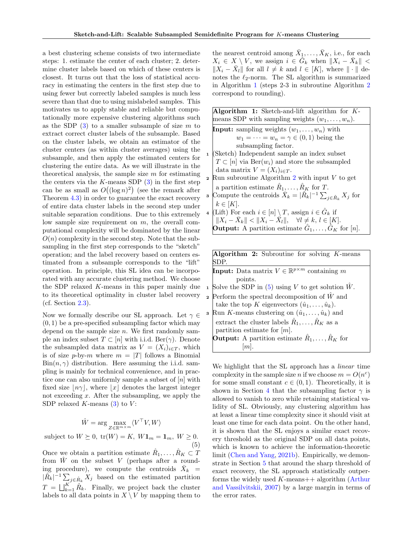<span id="page-3-0"></span>a best clustering scheme consists of two intermediate steps: 1. estimate the center of each cluster; 2. determine cluster labels based on which of these centers is closest. It turns out that the loss of statistical accuracy in estimating the centers in the first step due to using fewer but correctly labeled samples is much less severe than that due to using mislabeled samples. This motivates us to apply stable and reliable but computationally more expensive clustering algorithms such as the SDP  $(3)$  to a smaller subsample of size m to extract correct cluster labels of the subsample. Based on the cluster labels, we obtain an estimator of the cluster centers (as within cluster averages) using the subsample, and then apply the estimated centers for clustering the entire data. As we will illustrate in the theoretical analysis, the sample size  $m$  for estimating the centers via the  $K$ -means SDP  $(3)$  in the first step can be as small as  $O((\log n)^2)$  (see the remark after Theorem [4.3\)](#page-6-0) in order to guarantee the exact recovery of entire data cluster labels in the second step under suitable separation conditions. Due to this extremely low sample size requirement on  $m$ , the overall computational complexity will be dominated by the linear  $O(n)$  complexity in the second step. Note that the subsampling in the first step corresponds to the "sketch" operation; and the label recovery based on centers estimated from a subsample corresponds to the "lift" operation. In principle, this SL idea can be incorporated with any accurate clustering method. We choose the SDP relaxed K-means in this paper mainly due to its theoretical optimality in cluster label recovery (cf. Section [2.3\)](#page-2-0).

Now we formally describe our SL approach. Let  $\gamma \in$  $(0, 1)$  be a pre-specified subsampling factor which may depend on the sample size  $n$ . We first randomly sample an index subset  $T \subset [n]$  with i.i.d. Ber( $\gamma$ ). Denote the subsampled data matrix as  $V = (X_i)_{i \in T}$ , which is of size p-by-m where  $m = |T|$  follows a Binomial  $\text{Bin}(n, \gamma)$  distribution. Here assuming the i.i.d. sampling is mainly for technical convenience, and in practice one can also uniformly sample a subset of  $[n]$  with fixed size  $|n\gamma|$ , where  $|x|$  denotes the largest integer not exceeding x. After the subsampling, we apply the SDP relaxed  $K$ -means  $(3)$  to  $V$ :

$$
\hat{W} = \arg\max_{Z\in\mathbb{R}^{m\times m}} \langle V^\top V, W \rangle
$$

subject to  $W \succeq 0$ ,  $tr(W) = K$ ,  $W\mathbf{1}_m = \mathbf{1}_m$ ,  $W \ge 0$ . (5)

Once we obtain a partition estimate  $\hat{R}_1, \ldots, \hat{R}_K \subset \hat{T}$ from  $\hat{W}$  on the subset V (perhaps after a rounding procedure), we compute the centroids  $\bar{X}_k$  =  $|\hat{R}_{k}|^{-1} \sum_{j \in \hat{R}_{k}} X_{j}$  based on the estimated partition  $T = \bigsqcup_{k=1}^{K} \hat{R}_k$ . Finally, we project back the cluster labels to all data points in  $X \setminus V$  by mapping them to

the nearest centroid among  $\bar{X}_1, \ldots, \bar{X}_K$ , i.e., for each  $X_i \in X \setminus V$ , we assign  $i \in \tilde{G}_k$  when  $||X_i - \bar{X}_k||$  <  $||X_i - \bar{X}_l||$  for all  $l \neq k$  and  $l \in [K]$ , where  $|| \cdot ||$  denotes the  $\ell_2\text{-norm.}$  The SL algorithm is summarized in Algorithm 1 (steps 2-3 in subroutine Algorithm 2 correspond to rounding).

| Algorithm 1: Sketch-and-lift algorithm for $K$ -                                             |
|----------------------------------------------------------------------------------------------|
| means SDP with sampling weights $(w_1, \ldots, w_n)$ .                                       |
| <b>Input:</b> sampling weights $(w_1, \ldots, w_n)$ with                                     |
| $w_1 = \cdots = w_n = \gamma \in (0,1)$ being the                                            |
| subsampling factor.                                                                          |
| 1 (Sketch) Independent sample an index subset                                                |
| $T \subset [n]$ via $\text{Ber}(w_i)$ and store the subsampled                               |
| data matrix $V = (X_i)_{i \in T}$ .                                                          |
| <b>2</b> Run subroutine Algorithm 2 with input $V$ to get                                    |
| a partition estimate $\hat{R}_1, \ldots, \hat{R}_K$ for T.                                   |
| <b>a</b> Compute the centroids $\bar{X}_k =  \hat{R}_k ^{-1} \sum_{i \in \hat{R}_k} X_i$ for |
| $k \in [K]$ .                                                                                |
| 4 (Lift) For each $i \in [n] \setminus T$ , assign $i \in \hat{G}_k$ if                      |
| $\  \ X_i - \bar{X}_k\  < \ X_i - \bar{X}_l\ , \quad \forall l \neq k, l \in [K].$           |
| <b>Output:</b> A partition estimate $\hat{G}_1, \ldots, \hat{G}_K$ for [n].                  |
|                                                                                              |
|                                                                                              |
| <b>Algorithm 2:</b> Subroutine for solving $K$ -means<br>SDP.                                |
|                                                                                              |

| <b>Input:</b> Data matrix $V \in \mathbb{R}^{p \times m}$ containing m |
|------------------------------------------------------------------------|
| points.                                                                |
| 1 Solve the SDP in (5) using V to get solution $\hat{W}$ .             |
| $\mathbf z$<br>Perform the spectral decomposition of $\hat W$ and      |
| take the top K eigenvectors $(\hat{u}_1, \ldots, \hat{u}_k)$ .         |
| <b>a</b> Run K-means clustering on $(\hat{u}_1, \dots, \hat{u}_k)$ and |
| extract the cluster labels $\hat{R}_1, \ldots, \hat{R}_K$ as a         |
| partition estimate for $[m]$ .                                         |
| <b>Output:</b> A partition estimate $\hat{R}_1, \ldots, \hat{R}_K$ for |
|                                                                        |

We highlight that the SL approach has a linear time complexity in the sample size *n* if we choose  $m = O(n^c)$ for some small constant  $c \in (0,1)$ . Theoretically, it is shown in Section [4](#page-5-0) that the subsampling factor  $\gamma$  is allowed to vanish to zero while retaining statistical validity of SL. Obviously, any clustering algorithm has at least a linear time complexity since it should visit at least one time for each data point. On the other hand, it is shown that the SL enjoys a similar exact recovery threshold as the original SDP on all data points, which is known to achieve the information-theoretic limit [\(Chen and Yang,](#page-9-0) [2021b\)](#page-9-0). Empirically, we demonstrate in Section [5](#page-6-0) that around the sharp threshold of exact recovery, the SL approach statistically outperforms the widely used  $K$ -means++ algorithm [\(Arthur](#page-8-0) [and Vassilvitskii,](#page-8-0) [2007\)](#page-8-0) by a large margin in terms of the error rates.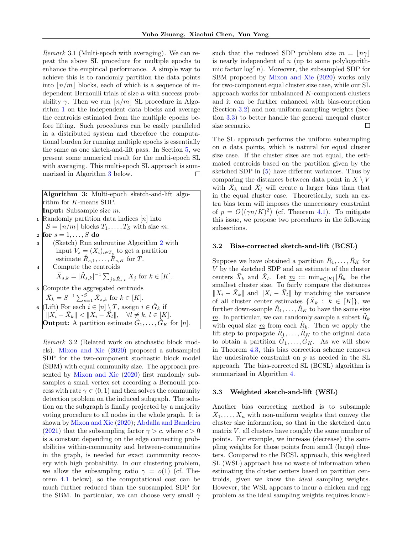<span id="page-4-0"></span>Remark 3.1 (Multi-epoch with averaging). We can repeat the above SL procedure for multiple epochs to enhance the empirical performance. A simple way to achieve this is to randomly partition the data points into  $|n/m|$  blocks, each of which is a sequence of independent Bernoulli trials of size n with success probability  $\gamma$ . Then we run |n/m| SL procedure in Algorithm [1](#page-3-0) on the independent data blocks and average the centroids estimated from the multiple epochs before lifting. Such procedures can be easily paralleled in a distributed system and therefore the computational burden for running multiple epochs is essentially the same as one sketch-and-lift pass. In Section [5,](#page-6-0) we present some numerical result for the multi-epoch SL with averaging. This multi-epoch SL approach is summarized in Algorithm 3 below.  $\Box$ 

| Algorithm 3: Multi-epoch sketch-and-lift algo-                                                          |
|---------------------------------------------------------------------------------------------------------|
| rithm for $K$ -means SDP.                                                                               |
| <b>Input:</b> Subsample size $m$ .                                                                      |
| <b>1</b> Randomly partition data indices $[n]$ into                                                     |
| $S =  n/m $ blocks $T_1, \ldots, T_S$ with size m.                                                      |
| 2 for $s = 1, \ldots, S$ do                                                                             |
| <b>a</b> (Sketch) Run subroutine Algorithm 2 with<br>input $V_s = (X_i)_{i \in T_s}$ to get a partition |
|                                                                                                         |
| estimate $R_{s,1}, \ldots, R_{s,K}$ for T.                                                              |
| 4 $\left \begin{array}{cc} \end{array}\right $ Compute the centroids                                    |
| $\bar{X}_{s,k} =  \hat{R}_{s,k} ^{-1} \sum_{j \in \hat{R}_{s,k}} X_j$ for $k \in [K]$ .                 |
| <sup>5</sup> Compute the aggregated centroids                                                           |
| $\bar{X}_k = S^{-1} \sum_{s=1}^S \bar{X}_{s,k}$ for $k \in [K]$ .                                       |
| $\mathfrak{g}$ (Lift) For each $i \in [n] \setminus T$ , assign $i \in \hat{G}_k$ if                    |
| $\  \ X_i - \bar{X}_k\  < \ X_i - \bar{X}_l\ , \quad \forall l \neq k, l \in [K].$                      |
| <b>Output:</b> A partition estimate $G_1, \ldots, G_K$ for [n].                                         |

Remark 3.2 (Related work on stochastic block models). [Mixon and Xie](#page-9-0) [\(2020\)](#page-9-0) proposed a subsampled SDP for the two-component stochastic block model (SBM) with equal community size. The approach presented by [Mixon and Xie](#page-9-0) [\(2020\)](#page-9-0) first randomly subsamples a small vertex set according a Bernoulli process with rate  $\gamma \in (0, 1)$  and then solves the community detection problem on the induced subgraph. The solution on the subgraph is finally projected by a majority voting procedure to all nodes in the whole graph. It is shown by [Mixon and Xie](#page-9-0) [\(2020\)](#page-9-0); [Abdalla and Bandeira](#page-8-0) [\(2021\)](#page-8-0) that the subsampling factor  $\gamma > c$ , where  $c > 0$ is a constant depending on the edge connecting probabilities within-community and between-communities in the graph, is needed for exact community recovery with high probability. In our clustering problem, we allow the subsampling ratio  $\gamma = o(1)$  (cf. Theorem [4.1](#page-5-0) below), so the computational cost can be much further reduced than the subsampled SDP for the SBM. In particular, we can choose very small  $\gamma$  such that the reduced SDP problem size  $m = \lfloor n\gamma \rfloor$ is nearly independent of  $n$  (up to some polylogarithmic factor  $\log^c n$ ). Moreover, the subsampled SDP for SBM proposed by [Mixon and Xie](#page-9-0) [\(2020\)](#page-9-0) works only for two-component equal cluster size case, while our SL approach works for unbalanced K-component clusters and it can be further enhanced with bias-correction (Section 3.2) and non-uniform sampling weights (Section 3.3) to better handle the general unequal cluster size scenario. П

The SL approach performs the uniform subsampling on  $n$  data points, which is natural for equal cluster size case. If the cluster sizes are not equal, the estimated centroids based on the partition given by the sketched SDP in [\(5\)](#page-3-0) have different variances. Thus by comparing the distances between data point in  $X \setminus V$ with  $\bar{X}_k$  and  $\bar{X}_l$  will create a larger bias than that in the equal cluster case. Theoretically, such an extra bias term will imposes the unnecessary constraint of  $p = O((\gamma n/K)^2)$  (cf. Theorem [4.1\)](#page-5-0). To mitigate this issue, we propose two procedures in the following subsections.

#### 3.2 Bias-corrected sketch-and-lift (BCSL)

Suppose we have obtained a partition  $\hat{R}_1, \ldots, \hat{R}_K$  for V by the sketched SDP and an estimate of the cluster centers  $\bar{X}_k$  and  $\bar{X}_l$ . Let  $\underline{m} := \min_{k \in [K]} |\hat{R}_k|$  be the smallest cluster size. To fairly compare the distances  $||X_i - \bar{X}_k||$  and  $||X_i - \bar{X}_l||$  by matching the variance of all cluster center estimates  $\{\bar{X}_k : k \in [K]\},\$ further down-sample  $\hat{R}_1, \ldots, \hat{R}_K$  to have the same size  $\underline{m}$ . In particular, we can randomly sample a subset  $\tilde{R}_k$ with equal size  $\underline{m}$  from each  $R_k$ . Then we apply the lift step to propagate  $\tilde{R}_1, \ldots, \tilde{R}_K$  to the original data to obtain a partition  $\hat{G}_1, \ldots, \hat{G}_K$ . As we will show in Theorem [4.3,](#page-6-0) this bias correction scheme removes the undesirable constraint on  $p$  as needed in the SL approach. The bias-corrected SL (BCSL) algorithm is summarized in Algorithm 4.

#### 3.3 Weighted sketch-and-lift (WSL)

Another bias correcting method is to subsample  $X_1, \ldots, X_n$  with non-uniform weights that convey the cluster size information, so that in the sketched data matrix  $V$ , all clusters have roughly the same number of points. For example, we increase (decrease) the sampling weights for those points from small (large) clusters. Compared to the BCSL approach, this weighted SL (WSL) approach has no waste of information when estimating the cluster centers based on partition centroids, given we know the ideal sampling weights. However, the WSL appears to incur a chicken and egg problem as the ideal sampling weights requires knowl-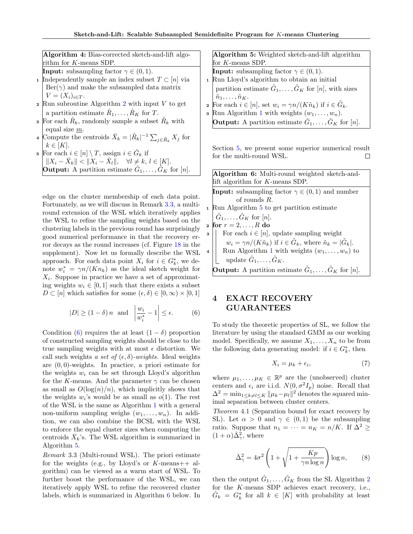<span id="page-5-0"></span>

| Algorithm 4: Bias-corrected sketch-and-lift algo-                                         | Algorithm 5: Weighted sketch-and-lift algorithm                                                 |
|-------------------------------------------------------------------------------------------|-------------------------------------------------------------------------------------------------|
| rithm for $K$ -means SDP.                                                                 | for $K$ -means SDP.                                                                             |
| <b>Input:</b> subsampling factor $\gamma \in (0,1)$ .                                     | <b>Input:</b> subsampling factor $\gamma \in (0,1)$ .                                           |
| <b>1</b> Independently sample an index subset $T \subset [n]$ via                         | Run Lloyd's algorithm to obtain an initial                                                      |
| $\text{Ber}(\gamma)$ and make the subsampled data matrix                                  | partition estimate $\tilde{G}_1, \ldots, \tilde{G}_K$ for [n], with sizes                       |
| $V = (X_i)_{i \in T}.$                                                                    | $\tilde{n}_1,\ldots,\tilde{n}_K.$                                                               |
| $\mathbf{z}$ Run subroutine Algorithm 2 with input V to get                               | <b>2</b> For each $i \in [n]$ , set $w_i = \gamma n / (K \tilde{n}_k)$ if $i \in \tilde{G}_k$ . |
| a partition estimate $\hat{R}_1, \ldots, \hat{R}_K$ for T.                                | <b>3</b> Run Algorithm 1 with weights $(w_1, \ldots, w_n)$ .                                    |
| <b>s</b> For each $R_k$ , randomly sample a subset $R_k$ with<br>equal size $m$ .         | <b>Output:</b> A partition estimate $\hat{G}_1, \ldots, \hat{G}_K$ for [n].                     |
| <b>Compute the centroids</b> $\bar{X}_i =  \tilde{B}_i ^{-1} \sum_{i=1}^{\infty} X_i$ for |                                                                                                 |

Section [5,](#page-6-0) we present some superior numerical result for the multi-round WSL.

 $\Box$ 

Algorithm 6: Multi-round weighted sketch-andlift algorithm for K-means SDP. **Input:** subsampling factor  $\gamma \in (0,1)$  and number of rounds R. <sup>1</sup> Run Algorithm 5 to get partition estimate  $\tilde{G}_1, \ldots, \tilde{G}_K$  for  $[n]$ . 2 for  $r = 2, \ldots, R$  do **3** For each  $i \in [n]$ , update sampling weight  $w_i = \gamma n/(K\tilde{n}_k)$  if  $i \in \tilde{G}_k$ , where  $\tilde{n}_k = |\tilde{G}_k|$ . 4 | Run Algorithm [1](#page-3-0) with weights  $(w_1, \ldots, w_n)$  to update  $\tilde{G}_1,\ldots,\tilde{G}_K.$ **Output:** A partition estimate  $\tilde{G}_1, \ldots, \tilde{G}_K$  for [n].

# 4 EXACT RECOVERY GUARANTEES

To study the theoretic properties of SL, we follow the literature by using the standard GMM as our working model. Specifically, we assume  $X_1, \ldots, X_n$  to be from the following data generating model: if  $i \in G_k^*$ , then

$$
X_i = \mu_k + \epsilon_i,\tag{7}
$$

where  $\mu_1, \ldots, \mu_K \in \mathbb{R}^p$  are the (unobserved) cluster centers and  $\epsilon_i$  are i.i.d.  $N(0, \sigma^2 I_p)$  noise. Recall that  $\Delta^2 = \min_{1 \leq k \neq l \leq K} ||\mu_k - \mu_l||^2$  denotes the squared minimal separation between cluster centers.

Theorem 4.1 (Separation bound for exact recovery by SL). Let  $\alpha > 0$  and  $\gamma \in (0,1)$  be the subsampling ratio. Suppose that  $n_1 = \cdots = n_K = n/K$ . If  $\Delta^2 \ge$  $(1+\alpha)\bar{\Delta}_{\gamma}^2$ , where

$$
\bar{\Delta}_{\gamma}^{2} = 4\sigma^{2} \left( 1 + \sqrt{1 + \frac{Kp}{\gamma n \log n}} \right) \log n, \qquad (8)
$$

then the output  $\hat{G}_1, \ldots, \hat{G}_K$  from the SL Algorithm [2](#page-3-0) for the K-means SDP achieves exact recovery, i.e.,  $\hat{G}_k = G_k^*$  for all  $k \in [K]$  with probability at least

- 
- [2](#page-3-0) Run subroutine Algorithm 2 with input  $V$  to get
- 
- 4 Compute the centroids  $\bar{X}_k = |\tilde{R}_k|^{-1} \sum_{j \in \tilde{R}_k} X_j$  for  $k \in [K]$ .
- **5** For each  $i \in [n] \setminus T$ , assign  $i \in \hat{G}_k$  if  $||X_i - \bar{X}_k|| < ||X_i - \bar{X}_l||, \quad \forall l \neq k, l \in [K].$ **Output:** A partition estimate  $\hat{G}_1, \ldots, \hat{G}_K$  for [n].

edge on the cluster membership of each data point. Fortunately, as we will discuss in Remark 3.3, a multiround extension of the WSL which iteratively applies the WSL to refine the sampling weights based on the clustering labels in the previous round has surprisingly good numerical performance in that the recovery error decays as the round increases (cf. Figure [18](#page-30-0) in the supplement). Now let us formally describe the WSL approach. For each data point  $X_i$  for  $i \in G_k^*$ , we denote  $w_i^* = \gamma n/(Kn_k)$  as the ideal sketch weight for  $X_i$ . Suppose in practice we have a set of approximating weights  $w_i \in [0, 1]$  such that there exists a subset  $D \subset [n]$  which satisfies for some  $(\epsilon, \delta) \in [0, \infty) \times [0, 1]$ 

$$
|D| \ge (1 - \delta) n \text{ and } \left| \frac{w_i}{w_i^*} - 1 \right| \le \epsilon. \tag{6}
$$

Condition (6) requires the at least  $(1 - \delta)$  proportion of constructed sampling weights should be close to the true sampling weights with at most  $\epsilon$  distortion. We call such weights a set of  $(\epsilon, \delta)$ -weights. Ideal weights are (0, 0)-weights. In practice, a priori estimate for the weights  $w_i$  can be set through Lloyd's algorithm for the K-means. And the parameter  $\gamma$  can be chosen as small as  $O(\log(n)/n)$ , which implicitly shows that the weights  $w_i$ 's would be as small as  $o(1)$ . The rest of the WSL is the same as Algorithm [1](#page-3-0) with a general non-uniform sampling weighs  $(w_1, \ldots, w_n)$ . In addition, we can also combine the BCSL with the WSL to enforce the equal cluster sizes when computing the centroids  $\bar{X}_k$ 's. The WSL algorithm is summarized in Algorithm 5.

Remark 3.3 (Multi-round WSL). The priori estimate for the weights (e.g., by Lloyd's or  $K$ -means++ algorithm) can be viewed as a warm start of WSL. To further boost the performance of the WSL, we can iteratively apply WSL to refine the recovered cluster labels, which is summarized in Algorithm 6 below. In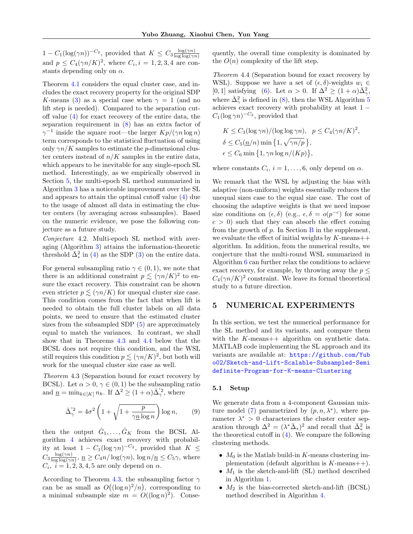<span id="page-6-0"></span> $1 - C_1(\log(\gamma n))^{-C_2}$ , provided that  $K \leq C_3 \frac{\log(\gamma n)}{\log \log(\gamma n)}$  $\log \log(\gamma n)$ and  $p \leq C_4(\gamma n/K)^2$ , where  $C_i, i = 1, 2, 3, 4$  are constants depending only on  $\alpha$ .

Theorem [4.1](#page-5-0) considers the equal cluster case, and includes the exact recovery property for the original SDP K-means [\(3\)](#page-2-0) as a special case when  $\gamma = 1$  (and no lift step is needed). Compared to the separation cutoff value [\(4\)](#page-2-0) for exact recovery of the entire data, the separation requirement in [\(8\)](#page-5-0) has an extra factor of  $\gamma^{-1}$  inside the square root—the larger  $Kp/(\gamma n \log n)$ term corresponds to the statistical fluctuation of using only  $\gamma n/K$  samples to estimate the *p*-dimensional cluster centers instead of  $n/K$  samples in the entire data, which appears to be inevitable for any single-epoch SL method. Interestingly, as we empirically observed in Section 5, the multi-epoch SL method summarized in Algorithm [3](#page-4-0) has a noticeable improvement over the SL and appears to attain the optimal cutoff value [\(4\)](#page-2-0) due to the usage of almost all data in estimating the cluster centers (by averaging across subsamples). Based on the numeric evidence, we pose the following conjecture as a future study.

Conjecture 4.2. Multi-epoch SL method with averaging (Algorithm [3\)](#page-4-0) attains the information-theoretic threshold  $\bar{\Delta}^2_*$  in [\(4\)](#page-2-0) as the SDP [\(3\)](#page-2-0) on the entire data.

For general subsampling ratio  $\gamma \in (0,1)$ , we note that there is an additional constraint  $p \lesssim (\gamma n/K)^2$  to ensure the exact recovery. This constraint can be shown even stricter  $p \leq (\gamma n/K)$  for unequal cluster size case. This condition comes from the fact that when lift is needed to obtain the full cluster labels on all data points, we need to ensure that the estimated cluster sizes from the subsampled SDP [\(5\)](#page-3-0) are approximately equal to match the variances. In contrast, we shall show that in Theorems 4.3 and 4.4 below that the BCSL does not require this condition, and the WSL still requires this condition  $p \lesssim (\gamma n/K)^2$ , but both will work for the unequal cluster size case as well.

Theorem 4.3 (Separation bound for exact recovery by BCSL). Let  $\alpha > 0$ ,  $\gamma \in (0,1)$  be the subsampling ratio and  $\underline{n} = \min_{k \in [K]} n_k$ . If  $\Delta^2 \ge (1 + \alpha) \overline{\Delta}'^2$ , where

$$
\bar{\Delta}'^2_{\gamma} = 4\sigma^2 \left( 1 + \sqrt{1 + \frac{p}{\gamma \underline{n} \log n}} \right) \log n, \qquad (9)
$$

then the output  $\hat{G}_1, \ldots, \hat{G}_K$  from the BCSL Algorithm [4](#page-4-0) achieves exact recovery with probability at least  $1 - C_1(\log \gamma n)^{-C_2}$ , provided that  $K \leq$  $C_3 \frac{\log(\gamma n)}{\log \log(\gamma n)}$  $\frac{\log(\gamma n)}{\log\log(\gamma n)}, n \geq C_4 n/\log(\gamma n), \log n/n \leq C_5 \gamma$ , where  $C_i$ ,  $i = 1, 2, 3, 4, 5$  are only depend on  $\alpha$ .

According to Theorem 4.3, the subsampling factor  $\gamma$ can be as small as  $O((\log n)^2/n)$ , corresponding to a minimal subsample size  $m = O((\log n)^2)$ . Consequently, the overall time complexity is dominated by the  $O(n)$  complexity of the lift step.

Theorem 4.4 (Separation bound for exact recovery by WSL). Suppose we have a set of  $(\epsilon, \delta)$ -weights  $w_i \in$ [0, 1] satisfying [\(6\)](#page-5-0). Let  $\alpha > 0$ . If  $\Delta^2 \ge (1 + \alpha) \overline{\Delta}_{\gamma}^2$ , where  $\bar{\Delta}_{\gamma}^{2}$  is defined in [\(8\)](#page-5-0), then the WSL Algorithm [5](#page-5-0) achieves exact recovery with probability at least 1 −  $C_1(\log \gamma n)^{-C_2}$ , provided that

$$
K \le C_3(\log \gamma n)/(\log \log \gamma n), \quad p \le C_4(\gamma n/K)^2,
$$
  
\n
$$
\delta \le C_5(\underline{n}/n) \min \{1, \sqrt{\gamma n/p} \},
$$
  
\n
$$
\epsilon \le C_6 \min \{1, \gamma n \log n/(Kp) \},
$$

where constants  $C_i$ ,  $i = 1, ..., 6$ , only depend on  $\alpha$ .

We remark that the WSL by adjusting the bias with adaptive (non-uniform) weights essentially reduces the unequal sizes case to the equal size case. The cost of choosing the adaptive weights is that we need impose size conditions on  $(\epsilon, \delta)$  (e.g.,  $\epsilon, \delta = o(p^{-c})$  for some  $c > 0$ ) such that they can absorb the effect coming from the growth of  $p$ . In Section  $\overline{B}$  $\overline{B}$  $\overline{B}$  in the supplement, we evaluate the effect of initial weights by  $K$ -means++ algorithm. In addition, from the numerical results, we conjecture that the multi-round WSL summarized in Algorithm [6](#page-5-0) can further relax the conditions to achieve exact recovery, for example, by throwing away the  $p \leq$  $C_4(\gamma n/K)^2$  constraint. We leave its formal theoretical study to a future direction.

### 5 NUMERICAL EXPERIMENTS

In this section, we test the numerical performance for the SL method and its variants, and compare them with the K-means++ algorithm on synthetic data. MATLAB code implementing the SL approach and its variants are available at: [https://github.com/Yub](https://github.com/Yubo02/Sketch-and-Lift-Scalable-Subsampled-Semidefinite-Program-for-K-means-Clustering) [o02/Sketch-and-Lift-Scalable-Subsampled-Semi](https://github.com/Yubo02/Sketch-and-Lift-Scalable-Subsampled-Semidefinite-Program-for-K-means-Clustering) [definite-Program-for-K-means-Clustering](https://github.com/Yubo02/Sketch-and-Lift-Scalable-Subsampled-Semidefinite-Program-for-K-means-Clustering)

#### 5.1 Setup

We generate data from a 4-component Gaussian mix-ture model [\(7\)](#page-5-0) parametrized by  $(p, n, \lambda^*)$ , where parameter  $\lambda^* > 0$  characterizes the cluster center separation through  $\Delta^2 = (\lambda^* \bar{\Delta}_*)^2$  and recall that  $\bar{\Delta}_*^2$  is the theoretical cutoff in  $(4)$ . We compare the following clustering methods.

- $M_0$  is the Matlab build-in K-means clustering implementation (default algorithm is  $K$ -means++).
- $M_1$  is the sketch-and-lift (SL) method described in Algorithm [1.](#page-3-0)
- $M_2$  is the bias-corrected sketch-and-lift (BCSL) method described in Algorithm [4.](#page-4-0)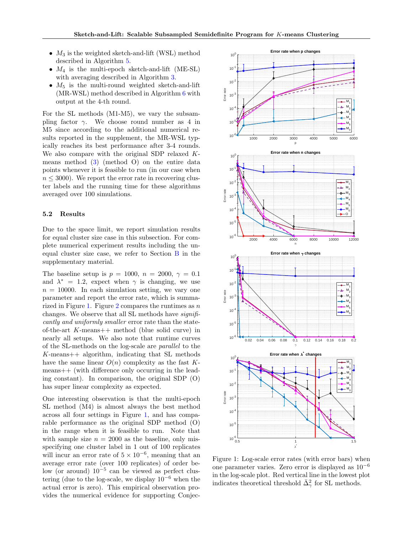- <span id="page-7-0"></span>•  $M_3$  is the weighted sketch-and-lift (WSL) method described in Algorithm [5.](#page-5-0)
- $M_4$  is the multi-epoch sketch-and-lift (ME-SL) with averaging described in Algorithm [3.](#page-4-0)
- $M_5$  is the multi-round weighted sketch-and-lift (MR-WSL) method described in Algorithm [6](#page-5-0) with output at the 4-th round.

For the SL methods (M1-M5), we vary the subsampling factor  $\gamma$ . We choose round number as 4 in M5 since according to the additional numerical results reported in the supplement, the MR-WSL typically reaches its best performance after 3-4 rounds. We also compare with the original SDP relaxed Kmeans method [\(3\)](#page-2-0) (method O) on the entire data points whenever it is feasible to run (in our case when  $n \leq 3000$ . We report the error rate in recovering cluster labels and the running time for these algorithms averaged over 100 simulations.

#### 5.2 Results

Due to the space limit, we report simulation results for equal cluster size case in this subsection. For complete numerical experiment results including the unequal cluster size case, we refer to Section  $\overline{B}$  $\overline{B}$  $\overline{B}$  in the supplementary material.

The baseline setup is  $p = 1000$ ,  $n = 2000$ ,  $\gamma = 0.1$ and  $\lambda^* = 1.2$ , expect when  $\gamma$  is changing, we use  $n = 10000$ . In each simulation setting, we vary one parameter and report the error rate, which is summa-rized in Figure 1. Figure [2](#page-8-0) compares the runtimes as  $n$ changes. We observe that all SL methods have significantly and uniformly smaller error rate than the stateof-the-art  $K$ -means++ method (blue solid curve) in nearly all setups. We also note that runtime curves of the SL-methods on the log-scale are parallel to the  $K$ -means++ algorithm, indicating that SL methods have the same linear  $O(n)$  complexity as the fast Kmeans++ (with difference only occurring in the leading constant). In comparison, the original SDP (O) has super linear complexity as expected.

One interesting observation is that the multi-epoch SL method (M4) is almost always the best method across all four settings in Figure 1, and has comparable performance as the original SDP method (O) in the range when it is feasible to run. Note that with sample size  $n = 2000$  as the baseline, only misspecifying one cluster label in 1 out of 100 replicates will incur an error rate of  $5 \times 10^{-6}$ , meaning that an average error rate (over 100 replicates) of order below (or around) 10<sup>−</sup><sup>5</sup> can be viewed as perfect clustering (due to the log-scale, we display  $10^{-6}$  when the actual error is zero). This empirical observation provides the numerical evidence for supporting Conjec-



Figure 1: Log-scale error rates (with error bars) when one parameter varies. Zero error is displayed as 10<sup>−</sup><sup>6</sup> in the log-scale plot. Red vertical line in the lowest plot indicates theoretical threshold  $\bar{\Delta}_{\gamma}^2$  for SL methods.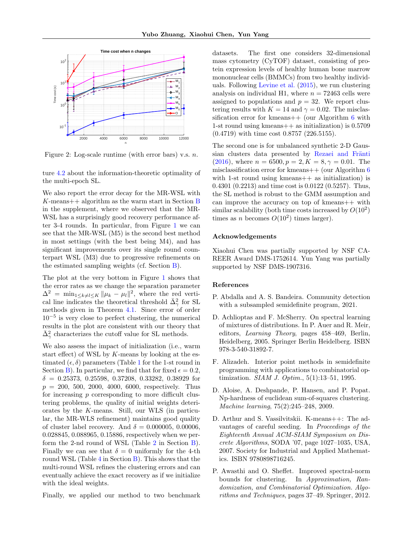<span id="page-8-0"></span>

Figure 2: Log-scale runtime (with error bars) v.s.  $n$ .

ture [4.2](#page-6-0) about the information-theoretic optimality of the multi-epoch SL.

We also report the error decay for the MR-WSL with  $K$ -means++ algorithm as the warm start in Section [B](#page-24-0) in the supplement, where we observed that the MR-WSL has a surprisingly good recovery performance after 3-4 rounds. In particular, from Figure [1](#page-7-0) we can see that the MR-WSL (M5) is the second best method in most settings (with the best being M4), and has significant improvements over its single round counterpart WSL (M3) due to progressive refinements on the estimated sampling weights (cf. Section [B\)](#page-24-0).

The plot at the very bottom in Figure [1](#page-7-0) shows that the error rates as we change the separation parameter  $\Delta^2 = \min_{1 \leq k \neq l \leq K} ||\mu_k - \mu_l||^2$ , where the red vertical line indicates the theoretical threshold  $\bar{\Delta}^2_{\gamma}$  for SL methods given in Theorem [4.1.](#page-5-0) Since error of order 10<sup>−</sup><sup>5</sup> is very close to perfect clustering, the numerical results in the plot are consistent with our theory that  $\bar{\Delta}_{\gamma}^{2}$  characterizes the cutoff value for SL methods.

We also assess the impact of initialization (i.e., warm start effect) of WSL by  $K$ -means by looking at the estimated  $(\epsilon, \delta)$  parameters (Table [1](#page-31-0) for the 1-st round in Section [B\)](#page-24-0). In particular, we find that for fixed  $\epsilon = 0.2$ ,  $\delta = 0.25373, 0.25598, 0.37208, 0.33282, 0.38929$  for  $p = 200, 500, 2000, 4000, 6000,$  respectively. Thus for increasing p corresponding to more difficult clustering problems, the quality of initial weights deteriorates by the K-means. Still, our WLS (in particular, the MR-WLS refinement) maintains good quality of cluster label recovery. And  $\delta = 0.000005, 0.00006,$ 0.028845, 0.088965, 0.15886, respectively when we per-form the [2](#page-32-0)-nd round of WSL (Table  $2$  in Section  $\overline{B}$ ). Finally we can see that  $\delta = 0$  uniformly for the 4-th round WSL (Table  $4$  in Section [B\)](#page-24-0). This shows that the multi-round WSL refines the clustering errors and can eventually achieve the exact recovery as if we initialize with the ideal weights.

Finally, we applied our method to two benchmark

datasets. The first one considers 32-dimensional mass cytometry (CyTOF) dataset, consisting of protein expression levels of healthy human bone marrow mononuclear cells (BMMCs) from two healthy individuals. Following [Levine et al.](#page-9-0) [\(2015\)](#page-9-0), we run clustering analysis on individual H1, where  $n = 72463$  cells were assigned to populations and  $p = 32$ . We report clustering results with  $K = 14$  and  $\gamma = 0.02$ . The misclassification error for kmeans $++$  (our Algorithm [6](#page-5-0) with 1-st round using kmeans++ as initialization) is 0.5709 (0.4719) with time cost 0.8757 (226.5155).

The second one is for unbalanced synthetic 2-D Gaussian clusters data presented by Rezaei and Fränti  $(2016)$ , where  $n = 6500, p = 2, K = 8, \gamma = 0.01$ . The misclassification error for kmeans $++$  (our Algorithm [6](#page-5-0)) with 1-st round using kmeans + as initialization) is 0.4301 (0.2213) and time cost is 0.0122 (0.5257). Thus, the SL method is robust to the GMM assumption and can improve the accuracy on top of kmeans++ with similar scalability (both time costs increased by  $O(10^2)$ times as *n* becomes  $O(10^2)$  times larger).

#### Acknowledgements

Xiaohui Chen was partially supported by NSF CA-REER Award DMS-1752614. Yun Yang was partially supported by NSF DMS-1907316.

#### References

- P. Abdalla and A. S. Bandeira. Community detection with a subsampled semidefinite program, 2021.
- D. Achlioptas and F. McSherry. On spectral learning of mixtures of distributions. In P. Auer and R. Meir, editors, Learning Theory, pages 458–469, Berlin, Heidelberg, 2005. Springer Berlin Heidelberg. ISBN 978-3-540-31892-7.
- F. Alizadeh. Interior point methods in semidefinite programming with applications to combinatorial optimization. SIAM J. Optim., 5(1):13–51, 1995.
- D. Aloise, A. Deshpande, P. Hansen, and P. Popat. Np-hardness of euclidean sum-of-squares clustering. Machine learning, 75(2):245–248, 2009.
- D. Arthur and S. Vassilvitskii. K-means++: The advantages of careful seeding. In Proceedings of the Eighteenth Annual ACM-SIAM Symposium on Discrete Algorithms, SODA '07, page 1027–1035, USA, 2007. Society for Industrial and Applied Mathematics. ISBN 9780898716245.
- P. Awasthi and O. Sheffet. Improved spectral-norm bounds for clustering. In Approximation, Randomization, and Combinatorial Optimization. Algorithms and Techniques, pages 37–49. Springer, 2012.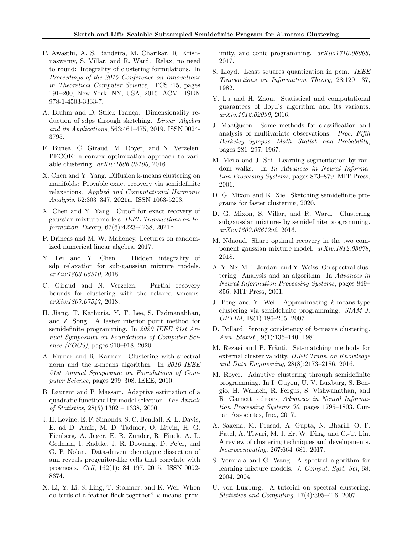- <span id="page-9-0"></span>P. Awasthi, A. S. Bandeira, M. Charikar, R. Krishnaswamy, S. Villar, and R. Ward. Relax, no need to round: Integrality of clustering formulations. In Proceedings of the 2015 Conference on Innovations in Theoretical Computer Science, ITCS '15, pages 191–200, New York, NY, USA, 2015. ACM. ISBN 978-1-4503-3333-7.
- A. Bluhm and D. Stilck Franca. Dimensionality reduction of sdps through sketching. Linear Algebra and its Applications, 563:461–475, 2019. ISSN 0024- 3795.
- F. Bunea, C. Giraud, M. Royer, and N. Verzelen. PECOK: a convex optimization approach to variable clustering. arXiv:1606.05100, 2016.
- X. Chen and Y. Yang. Diffusion k-means clustering on manifolds: Provable exact recovery via semidefinite relaxations. Applied and Computational Harmonic Analysis, 52:303–347, 2021a. ISSN 1063-5203.
- X. Chen and Y. Yang. Cutoff for exact recovery of gaussian mixture models. IEEE Transactions on Information Theory, 67(6):4223–4238, 2021b.
- P. Drineas and M. W. Mahoney. Lectures on randomized numerical linear algebra, 2017.
- Y. Fei and Y. Chen. Hidden integrality of sdp relaxation for sub-gaussian mixture models. arXiv:1803.06510, 2018.
- C. Giraud and N. Verzelen. Partial recovery bounds for clustering with the relaxed kmeans. arXiv:1807.07547, 2018.
- H. Jiang, T. Kathuria, Y. T. Lee, S. Padmanabhan, and Z. Song. A faster interior point method for semidefinite programming. In 2020 IEEE 61st Annual Symposium on Foundations of Computer Science (FOCS), pages 910–918, 2020.
- A. Kumar and R. Kannan. Clustering with spectral norm and the k-means algorithm. In 2010 IEEE 51st Annual Symposium on Foundations of Computer Science, pages 299–308. IEEE, 2010.
- B. Laurent and P. Massart. Adaptive estimation of a quadratic functional by model selection. The Annals of Statistics, 28(5):1302 – 1338, 2000.
- J. H. Levine, E. F. Simonds, S. C. Bendall, K. L. Davis, E. ad D. Amir, M. D. Tadmor, O. Litvin, H. G. Fienberg, A. Jager, E. R. Zunder, R. Finck, A. L. Gedman, I. Radtke, J. R. Downing, D. Pe'er, and G. P. Nolan. Data-driven phenotypic dissection of aml reveals progenitor-like cells that correlate with prognosis. Cell, 162(1):184–197, 2015. ISSN 0092- 8674.
- X. Li, Y. Li, S. Ling, T. Stohmer, and K. Wei. When do birds of a feather flock together? k-means, prox-

imity, and conic programming.  $arXiv:1710.06008$ . 2017.

- S. Lloyd. Least squares quantization in pcm. IEEE Transactions on Information Theory, 28:129–137, 1982.
- Y. Lu and H. Zhou. Statistical and computational guarantees of lloyd's algorithm and its variants. arXiv:1612.02099, 2016.
- J. MacQueen. Some methods for classification and analysis of multivariate observations. Proc. Fifth Berkeley Sympos. Math. Statist. and Probability, pages 281–297, 1967.
- M. Meila and J. Shi. Learning segmentation by random walks. In In Advances in Neural Information Processing Systems, pages 873–879. MIT Press, 2001.
- D. G. Mixon and K. Xie. Sketching semidefinite programs for faster clustering, 2020.
- D. G. Mixon, S. Villar, and R. Ward. Clustering subgaussian mixtures by semidefinite programming. arXiv:1602.06612v2, 2016.
- M. Ndaoud. Sharp optimal recovery in the two component gaussian mixture model. arXiv:1812.08078, 2018.
- A. Y. Ng, M. I. Jordan, and Y. Weiss. On spectral clustering: Analysis and an algorithm. In Advances in Neural Information Processing Systems, pages 849– 856. MIT Press, 2001.
- J. Peng and Y. Wei. Approximating k-means-type clustering via semidefinite programming. SIAM J. OPTIM, 18(1):186–205, 2007.
- D. Pollard. Strong consistency of k-means clustering. Ann. Statist., 9(1):135–140, 1981.
- M. Rezaei and P. Fränti. Set-matching methods for external cluster validity. IEEE Trans. on Knowledge and Data Engineering, 28(8):2173–2186, 2016.
- M. Royer. Adaptive clustering through semidefinite programming. In I. Guyon, U. V. Luxburg, S. Bengio, H. Wallach, R. Fergus, S. Vishwanathan, and R. Garnett, editors, Advances in Neural Information Processing Systems 30, pages 1795–1803. Curran Associates, Inc., 2017.
- A. Saxena, M. Prasad, A. Gupta, N. Bharill, O. P. Patel, A. Tiwari, M. J. Er, W. Ding, and C.-T. Lin. A review of clustering techniques and developments. Neurocomputing, 267:664–681, 2017.
- S. Vempala and G. Wang. A spectral algorithm for learning mixture models. J. Comput. Syst. Sci, 68: 2004, 2004.
- U. von Luxburg. A tutorial on spectral clustering. Statistics and Computing, 17(4):395–416, 2007.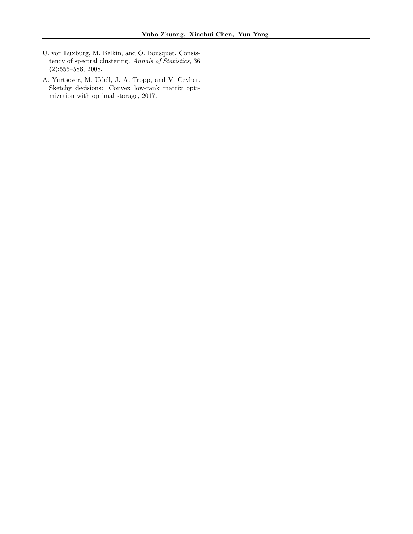- <span id="page-10-0"></span>U. von Luxburg, M. Belkin, and O. Bousquet. Consistency of spectral clustering. Annals of Statistics, 36 (2):555–586, 2008.
- A. Yurtsever, M. Udell, J. A. Tropp, and V. Cevher. Sketchy decisions: Convex low-rank matrix optimization with optimal storage, 2017.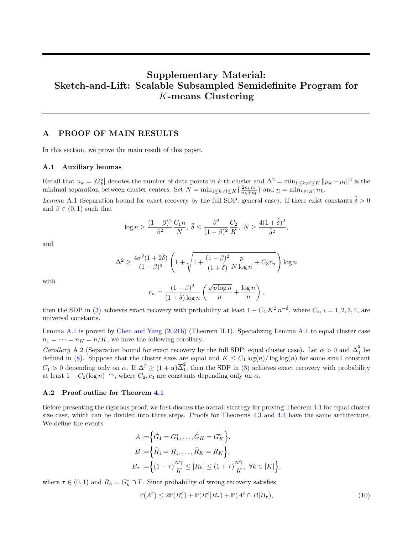# <span id="page-11-0"></span>Supplementary Material: Sketch-and-Lift: Scalable Subsampled Semidefinite Program for K-means Clustering

### A PROOF OF MAIN RESULTS

In this section, we prove the main result of this paper.

#### A.1 Auxiliary lemmas

Recall that  $n_k = |G_k^*|$  denotes the number of data points in k-th cluster and  $\Delta^2 = \min_{1 \le k \ne l \le K} ||\mu_k - \mu_l||^2$  is the minimal separation between cluster centers. Set  $N = \min_{1 \le k \ne l \le K} \left\{ \frac{2n_k n_l}{n_k + n_l} \right\}$  and  $\underline{n} = \min_{k \in [K]} n_k$ .

Lemma A.1 (Separation bound for exact recovery by the full SDP: general case). If there exist constants  $\tilde{\delta} > 0$ and  $\beta \in (0,1)$  such that

$$
\log n \ge \frac{(1-\beta)^2}{\beta^2} \frac{C_1 n}{N}, \ \tilde \delta \le \frac{\beta^2}{(1-\beta)^2} \frac{C_2}{K}, \ N \ge \frac{4(1+\tilde \delta)^2}{\tilde \delta^2},
$$

and

$$
\Delta^2 \ge \frac{4\sigma^2 (1+2\tilde{\delta})}{(1-\beta)^2} \left(1 + \sqrt{1 + \frac{(1-\beta)^2}{(1+\tilde{\delta})} \frac{p}{N \log n} + C_3 r_n}\right) \log n
$$

with

$$
r_n = \frac{(1-\beta)^2}{(1+\tilde{\delta})\log n} \left( \frac{\sqrt{p \log n}}{\underline{n}} + \frac{\log n}{\underline{n}} \right),
$$

then the SDP in [\(3\)](#page-2-0) achieves exact recovery with probability at least  $1 - C_4 K^2 n^{-\tilde{\delta}}$ , where  $C_i$ ,  $i = 1, 2, 3, 4$ , are universal constants.

Lemma A.1 is proved by [Chen and Yang](#page-9-0) [\(2021b\)](#page-9-0) (Theorem II.1). Specializing Lemma A.1 to equal cluster case  $n_1 = \cdots = n_K = n/K$ , we have the following corollary.

Corollary A.2 (Separation bound for exact recovery by the full SDP: equal cluster case). Let  $\alpha > 0$  and  $\overline{\Delta}_1^2$  be defined in [\(8\)](#page-5-0). Suppose that the cluster sizes are equal and  $K \leq C_1 \log(n) / \log \log(n)$  for some small constant  $C_1 > 0$  depending only on  $\alpha$ . If  $\Delta^2 \ge (1 + \alpha) \overline{\Delta}_1^2$  $\frac{1}{1}$ , then the SDP in [\(3\)](#page-2-0) achieves exact recovery with probability at least  $1 - C_2(\log n)^{-c_3}$ , where  $C_2, c_3$  are constants depending only on  $\alpha$ .

#### A.2 Proof outline for Theorem [4.1](#page-5-0)

Before presenting the rigorous proof, we first discuss the overall strategy for proving Theorem [4.1](#page-5-0) for equal cluster size case, which can be divided into three steps. Proofs for Theorems [4.3](#page-6-0) and [4.4](#page-6-0) have the same architecture. We define the events

$$
A := \left\{ \hat{G}_1 = G_1^*, \dots, \hat{G}_K = G_K^* \right\},
$$
  
\n
$$
B := \left\{ \hat{R}_1 = R_1, \dots, \hat{R}_K = R_K \right\},
$$
  
\n
$$
B_\tau := \left\{ (1 - \tau) \frac{n\gamma}{K} \le |R_k| \le (1 + \tau) \frac{n\gamma}{K}, \ \forall k \in [K] \right\}
$$

where  $\tau \in (0,1)$  and  $R_k = G_k^* \cap T$ . Since probability of wrong recovery satisfies

$$
\mathbb{P}(A^c) \le 2\mathbb{P}(B_\tau^c) + \mathbb{P}(B^c|B_\tau) + \mathbb{P}(A^c \cap B|B_\tau),\tag{10}
$$

,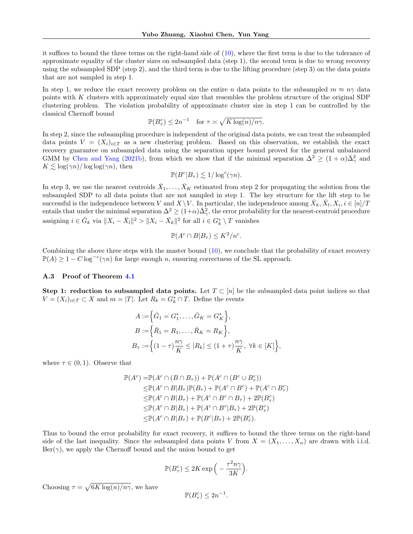it suffices to bound the three terms on the right-hand side of [\(10\)](#page-11-0), where the first term is due to the tolerance of approximate equality of the cluster sizes on subsampled data (step 1), the second term is due to wrong recovery using the subsampled SDP (step 2), and the third term is due to the lifting procedure (step 3) on the data points that are not sampled in step 1.

In step 1, we reduce the exact recovery problem on the entire n data points to the subsampled  $m \approx n\gamma$  data points with K clusters with approximately equal size that resembles the problem structure of the original SDP clustering problem. The violation probability of approximate cluster size in step 1 can be controlled by the classical Chernoff bound

$$
\mathbb{P}(B_{\tau}^c) \le 2n^{-1} \quad \text{for } \tau \asymp \sqrt{K \log(n)/n\gamma}.
$$

In step 2, since the subsampling procedure is independent of the original data points, we can treat the subsampled data points  $V = (X_i)_{i \in T}$  as a new clustering problem. Based on this observation, we establish the exact recovery guarantee on subsampled data using the separation upper bound proved for the general unbalanced GMM by [Chen and Yang](#page-9-0) [\(2021b\)](#page-9-0), from which we show that if the minimal separation  $\Delta^2 \geq (1+\alpha)\bar{\Delta}^2_{\gamma}$  and  $K \lesssim \log(\gamma n)/\log \log(\gamma n)$ , then

$$
\mathbb{P}(B^c|B_{\tau}) \lesssim 1/\log^c(\gamma n).
$$

In step 3, we use the nearest centroids  $\bar{X}_1, \ldots, \bar{X}_K$  estimated from step 2 for propagating the solution from the subsampled SDP to all data points that are not sampled in step 1. The key structure for the lift step to be successful is the independence between V and  $X \setminus V$ . In particular, the independence among  $\bar{X}_k, \bar{X}_l, X_i, i \in [n]/T$ entails that under the minimal separation  $\Delta^2 \geq (1+\alpha)\bar{\Delta}_{\gamma}^2$ , the error probability for the nearest-centroid procedure assigning  $i \in \hat{G}_k$  via  $||X_i - \bar{X}_l||^2 > ||X_i - \bar{X}_k||^2$  for all  $i \in G_k^* \setminus T$  vanishes

$$
\mathbb{P}(A^c \cap B|B_{\tau}) \leq K^2/n^c.
$$

Combining the above three steps with the master bound [\(10\)](#page-11-0), we conclude that the probability of exact recovery  $\mathbb{P}(A) \geq 1 - C \log^{-c}(\gamma n)$  for large enough n, ensuring correctness of the SL approach.

#### A.3 Proof of Theorem [4.1](#page-5-0)

Step 1: reduction to subsampled data points. Let  $T \subset [n]$  be the subsampled data point indices so that  $V = (X_i)_{i \in T} \subset X$  and  $m = |T|$ . Let  $R_k = G_k^* \cap T$ . Define the events

$$
A := \left\{ \hat{G}_1 = G_1^*, \dots, \hat{G}_K = G_K^* \right\},
$$
  
\n
$$
B := \left\{ \hat{R}_1 = R_1, \dots, \hat{R}_K = R_K \right\},
$$
  
\n
$$
B_\tau := \left\{ (1 - \tau) \frac{n\gamma}{K} \le |R_k| \le (1 + \tau) \frac{n\gamma}{K}, \ \forall k \in [K] \right\},
$$

where  $\tau \in (0,1)$ . Observe that

$$
\mathbb{P}(A^c) = \mathbb{P}(A^c \cap (B \cap B_{\tau})) + \mathbb{P}(A^c \cap (B^c \cup B_{\tau}^c))
$$
  
\n
$$
\leq \mathbb{P}(A^c \cap B|B_{\tau})\mathbb{P}(B_{\tau}) + \mathbb{P}(A^c \cap B^c) + \mathbb{P}(A^c \cap B_{\tau}^c)
$$
  
\n
$$
\leq \mathbb{P}(A^c \cap B|B_{\tau}) + \mathbb{P}(A^c \cap B^c \cap B_{\tau}) + 2\mathbb{P}(B_{\tau}^c)
$$
  
\n
$$
\leq \mathbb{P}(A^c \cap B|B_{\tau}) + \mathbb{P}(A^c \cap B^c|B_{\tau}) + 2\mathbb{P}(B_{\tau}^c)
$$
  
\n
$$
\leq \mathbb{P}(A^c \cap B|B_{\tau}) + \mathbb{P}(B^c|B_{\tau}) + 2\mathbb{P}(B_{\tau}^c).
$$

Thus to bound the error probability for exact recovery, it suffices to bound the three terms on the right-hand side of the last inequality. Since the subsampled data points V from  $X = (X_1, \ldots, X_n)$  are drawn with i.i.d.  $\text{Ber}(\gamma)$ , we apply the Chernoff bound and the union bound to get

$$
\mathbb{P}(B_{\tau}^c) \le 2K \exp\Big(-\frac{\tau^2 n \gamma}{3K}\Big).
$$

Choosing  $\tau = \sqrt{6K \log(n)/n\gamma}$ , we have

$$
\mathbb{P}(B^c_\tau) \le 2n^{-1}.
$$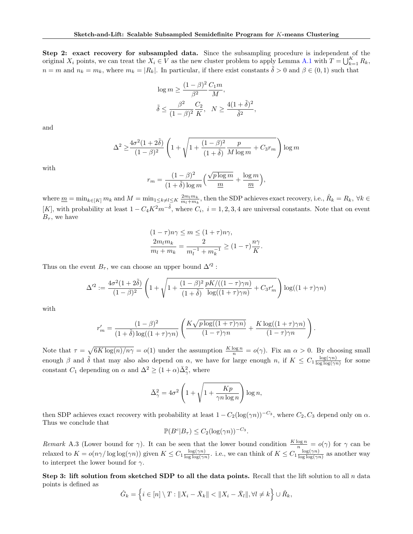Step 2: exact recovery for subsampled data. Since the subsampling procedure is independent of the original  $X_i$  points, we can treat the  $X_i \in V$  as the new cluster problem to apply Lemma [A.1](#page-11-0) with  $T = \bigcup_{k=1}^K R_k$ ,  $n = m$  and  $n_k = m_k$ , where  $m_k = |R_k|$ . In particular, if there exist constants  $\tilde{\delta} > 0$  and  $\beta \in (0,1)$  such that

$$
\log m \ge \frac{(1-\beta)^2}{\beta^2} \frac{C_1 m}{M},
$$
  

$$
\tilde{\delta} \le \frac{\beta^2}{(1-\beta)^2} \frac{C_2}{K}, \quad N \ge \frac{4(1+\tilde{\delta})^2}{\tilde{\delta}^2}
$$

,

and

$$
\Delta^2 \ge \frac{4\sigma^2 (1+2\tilde{\delta})}{(1-\beta)^2} \left(1 + \sqrt{1 + \frac{(1-\beta)^2}{(1+\tilde{\delta})} \frac{p}{M \log m} + C_3 r_m}\right) \log m
$$

with

$$
r_m = \frac{(1-\beta)^2}{(1+\tilde{\delta})\log m} \left( \frac{\sqrt{p \log m}}{m} + \frac{\log m}{m} \right),\,
$$

where  $\underline{m} = \min_{k \in [K]} m_k$  and  $M = \min_{1 \le k \ne l \le K} \frac{2m_l m_k}{m_l + m_k}$ , then the SDP achieves exact recovery, i.e.,  $\hat{R}_k = R_k$ ,  $\forall k \in$ [K], with probability at least  $1 - C_4 K^2 m^{-\tilde{\delta}}$ , where  $C_i$ ,  $i = 1, 2, 3, 4$  are universal constants. Note that on event  $B_{\tau}$ , we have

$$
(1 - \tau)n\gamma \le m \le (1 + \tau)n\gamma,
$$
  

$$
\frac{2m_l m_k}{m_l + m_k} = \frac{2}{m_l^{-1} + m_k^{-1}} \ge (1 - \tau)\frac{n\gamma}{K}.
$$

Thus on the event  $B_{\tau}$ , we can choose an upper bound  $\Delta'^2$ :

$$
\Delta^{2} := \frac{4\sigma^{2}(1+2\tilde{\delta})}{(1-\beta)^{2}} \left(1 + \sqrt{1 + \frac{(1-\beta)^{2}}{(1+\tilde{\delta})} \frac{pK/((1-\tau)\gamma n)}{\log((1+\tau)\gamma n)} + C_{3}r'_{m}}\right) \log((1+\tau)\gamma n)
$$

with

$$
r'_{m} = \frac{(1-\beta)^{2}}{(1+\tilde{\delta})\log((1+\tau)\gamma n)} \left( \frac{K\sqrt{p\log((1+\tau)\gamma n)}}{(1-\tau)\gamma n} + \frac{K\log((1+\tau)\gamma n)}{(1-\tau)\gamma n} \right).
$$

Note that  $\tau = \sqrt{6K \log(n)/n\gamma} = o(1)$  under the assumption  $\frac{K \log n}{n} = o(\gamma)$ . Fix an  $\alpha > 0$ . By choosing small enough  $\beta$  and  $\tilde{\delta}$  that may also also depend on  $\alpha$ , we have for large enough n, if  $K \leq C_1 \frac{\log(\gamma n)}{\log \log(\gamma)}$  $\frac{\log(\gamma n)}{\log \log(\gamma n)}$  for some constant  $C_1$  depending on  $\alpha$  and  $\Delta^2 \geq (1+\alpha)\bar{\Delta}_{\gamma}^2$ , where

$$
\bar{\Delta}_{\gamma}^{2} = 4\sigma^{2} \left( 1 + \sqrt{1 + \frac{Kp}{\gamma n \log n}} \right) \log n,
$$

then SDP achieves exact recovery with probability at least  $1 - C_2(\log(\gamma n))^{-C_3}$ , where  $C_2, C_3$  depend only on  $\alpha$ . Thus we conclude that

$$
\mathbb{P}(B^c|B_{\tau}) \le C_2(\log(\gamma n))^{-C_3}.
$$

Remark A.3 (Lower bound for  $\gamma$ ). It can be seen that the lower bound condition  $\frac{K \log n}{n} = o(\gamma)$  for  $\gamma$  can be relaxed to  $K = o(n\gamma/\log\log(\gamma n))$  given  $K \leq C_1 \frac{\log(\gamma n)}{\log\log(\gamma n)}$  $\frac{\log(\gamma n)}{\log\log(\gamma n)}$ . i.e., we can think of  $K \leq C_1 \frac{\log(\gamma n)}{\log\log(\gamma n)}$  $\frac{\log(\gamma n)}{\log \log(\gamma n)}$  as another way to interpret the lower bound for  $\gamma$ .

Step 3: lift solution from sketched SDP to all the data points. Recall that the lift solution to all  $n$  data points is defined as

$$
\hat{G}_k = \left\{ i \in [n] \setminus T : \|X_i - \bar{X}_k\| < \|X_i - \bar{X}_l\|, \forall l \neq k \right\} \cup \hat{R}_k,
$$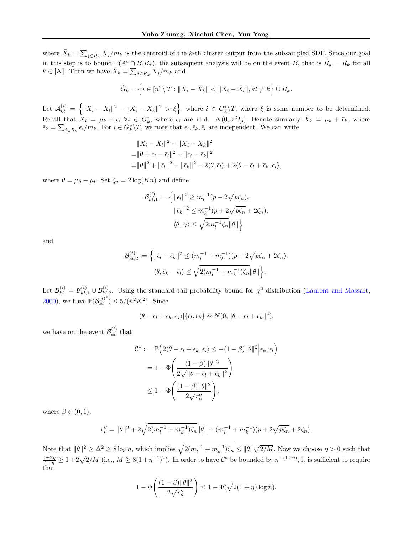where  $\bar{X}_k = \sum_{j \in \hat{R}_k} X_j/m_k$  is the centroid of the k-th cluster output from the subsampled SDP. Since our goal in this step is to bound  $\mathbb{P}(A^c \cap B|B_\tau)$ , the subsequent analysis will be on the event B, that is  $\hat{R}_k = R_k$  for all  $k \in [K]$ . Then we have  $\overline{X}_k = \sum_{j \in R_k} X_j/m_k$  and

$$
\hat{G}_k = \left\{ i \in [n] \setminus T : \|X_i - \bar{X}_k\| < \|X_i - \bar{X}_l\|, \forall l \neq k \right\} \cup R_k.
$$

Let  $\mathcal{A}_{kl}^{(i)} = \left\{ \|X_i - \bar{X}_l\|^2 - \|X_i - \bar{X}_k\|^2 > \xi \right\}$ , where  $i \in G_k^*\backslash T$ , where  $\xi$  is some number to be determined. Recall that  $X_i = \mu_k + \epsilon_i, \forall i \in G_k^*$ , where  $\epsilon_i$  are i.i.d.  $N(0, \sigma^2 I_p)$ . Denote similarly  $\bar{X}_k = \mu_k + \bar{\epsilon}_k$ , where  $\bar{\epsilon}_k = \sum_{j \in R_k} \epsilon_i/m_k$ . For  $i \in G_k^* \backslash T$ , we note that  $\epsilon_i, \bar{\epsilon}_k, \bar{\epsilon}_l$  are independent. We can write

$$
||X_i - \bar{X}_l||^2 - ||X_i - \bar{X}_k||^2
$$
  
=  $||\theta + \epsilon_i - \bar{\epsilon}_l||^2 - ||\epsilon_i - \bar{\epsilon}_k||^2$   
=  $||\theta||^2 + ||\bar{\epsilon}_l||^2 - ||\bar{\epsilon}_k||^2 - 2\langle \theta, \bar{\epsilon}_l \rangle + 2\langle \theta - \bar{\epsilon}_l + \bar{\epsilon}_k, \epsilon_i \rangle$ ,

where  $\theta = \mu_k - \mu_l$ . Set  $\zeta_n = 2 \log(K_n)$  and define

$$
\mathcal{B}_{kl,1}^{(i)} := \left\{ \|\bar{\epsilon}_{l}\|^2 \ge m_l^{-1}(p - 2\sqrt{p\zeta_n}), \|\bar{\epsilon}_{k}\|^2 \le m_k^{-1}(p + 2\sqrt{p\zeta_n} + 2\zeta_n), \langle \theta, \bar{\epsilon}_{l} \rangle \le \sqrt{2m_l^{-1}\zeta_n} \|\theta\|\right\}
$$

and

$$
\mathcal{B}_{kl,2}^{(i)} := \left\{ \|\bar{\epsilon}_l - \bar{\epsilon}_k\|^2 \le (m_l^{-1} + m_k^{-1})(p + 2\sqrt{p\zeta_n} + 2\zeta_n), \langle \theta, \bar{\epsilon}_k - \bar{\epsilon}_l \rangle \le \sqrt{2(m_l^{-1} + m_k^{-1})\zeta_n} \|\theta\| \right\}.
$$

Let  $\mathcal{B}_{kl}^{(i)} = \mathcal{B}_{kl,1}^{(i)} \cup \mathcal{B}_{kl,2}^{(i)}$ . Using the standard tail probability bound for  $\chi^2$  distribution [\(Laurent and Massart,](#page-9-0) [2000\)](#page-9-0), we have  $\mathbb{P}(\mathcal{B}^{(i)^c}_{kl}) \leq 5/(n^2K^2)$ . Since

$$
\langle \theta - \bar{\epsilon}_l + \bar{\epsilon}_k, \epsilon_i \rangle | \{ \bar{\epsilon}_l, \bar{\epsilon}_k \} \sim N(0, \|\theta - \bar{\epsilon}_l + \bar{\epsilon}_k\|^2),
$$

we have on the event  $\mathcal{B}_{kl}^{(i)}$  that

$$
C^* := \mathbb{P}\left(2\langle\theta - \bar{\epsilon}_l + \bar{\epsilon}_k, \epsilon_i\rangle \le -(1 - \beta)\|\theta\|^2 \Big|\bar{\epsilon}_k, \bar{\epsilon}_l\right)
$$
  
=  $1 - \Phi\left(\frac{(1 - \beta)\|\theta\|^2}{2\sqrt{\|\theta - \bar{\epsilon}_l + \bar{\epsilon}_k\|^2}}\right)$   
 $\le 1 - \Phi\left(\frac{(1 - \beta)\|\theta\|^2}{2\sqrt{r_n'}}\right),$ 

where  $\beta \in (0,1)$ ,

$$
r_n'' = \|\theta\|^2 + 2\sqrt{2(m_l^{-1} + m_k^{-1})\zeta_n}\|\theta\| + (m_l^{-1} + m_k^{-1})(p + 2\sqrt{p\zeta_n} + 2\zeta_n).
$$

Note that  $\|\theta\|^2 \geq \Delta^2 \geq 8 \log n$ , which implies  $\sqrt{2(m_l^{-1} + m_k^{-1}) \zeta_n} \leq \|\theta\| \sqrt{2/M}$ . Now we choose  $\eta > 0$  such that  $\frac{1+2\eta}{1+\eta} \geq 1+2\sqrt{2/M}$  (i.e.,  $M \geq 8(1+\eta^{-1})^2$ ). In order to have  $\mathcal{C}^*$  be bounded by  $n^{-(1+\eta)}$ , it is sufficient to require that

$$
1 - \Phi\left(\frac{(1-\beta)\|\theta\|^2}{2\sqrt{r_n''}}\right) \le 1 - \Phi(\sqrt{2(1+\eta)\log n}).
$$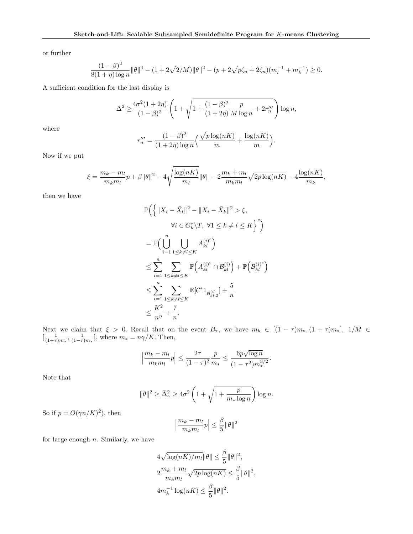or further

$$
\frac{(1-\beta)^2}{8(1+\eta)\log n} \|\theta\|^4 - (1+2\sqrt{2/M})\|\theta\|^2 - (p+2\sqrt{p\zeta_n} + 2\zeta_n)(m_l^{-1} + m_k^{-1}) \ge 0.
$$

A sufficient condition for the last display is

$$
\Delta^2 \ge \frac{4\sigma^2 (1+2\eta)}{(1-\beta)^2} \left(1 + \sqrt{1 + \frac{(1-\beta)^2}{(1+2\eta)} \frac{p}{M \log n} + 2r_n'''}\right) \log n,
$$

where

$$
r_n''' = \frac{(1-\beta)^2}{(1+2\eta)\log n} \left( \frac{\sqrt{p\log(nK)}}{m} + \frac{\log(nK)}{m} \right)
$$

.

.

Now if we put

$$
\xi = \frac{m_k - m_l}{m_k m_l} p + \beta ||\theta||^2 - 4\sqrt{\frac{\log(nK)}{m_l}} ||\theta|| - 2\frac{m_k + m_l}{m_k m_l} \sqrt{2p \log(nK)} - 4\frac{\log(nK)}{m_k},
$$

then we have

$$
\mathbb{P}\Big(\Big\{\|X_i - \bar{X}_l\|^2 - \|X_i - \bar{X}_k\|^2 > \xi,
$$
  
\n
$$
\forall i \in G_k^* \setminus T, \ \forall 1 \le k \ne l \le K\Big\}^c\Big)
$$
  
\n
$$
= \mathbb{P}\Big(\bigcup_{i=1}^n \bigcup_{1 \le k \ne l \le K} A_{kl}^{(i)^c}\Big)
$$
  
\n
$$
\le \sum_{i=1}^n \sum_{1 \le k \ne l \le K} \mathbb{P}\Big(A_{kl}^{(i)^c} \cap \mathcal{B}_{kl}^{(i)}\Big) + \mathbb{P}\Big(\mathcal{B}_{kl}^{(i)^c}\Big)
$$
  
\n
$$
\le \sum_{i=1}^n \sum_{1 \le k \ne l \le K} \mathbb{E}[C^*1_{\mathcal{B}_{kl,2}^{(i)}}] + \frac{5}{n}
$$
  
\n
$$
\le \frac{K^2}{n^{\eta}} + \frac{7}{n}.
$$

Next we claim that  $\xi > 0$ . Recall that on the event  $B_{\tau}$ , we have  $m_k \in [(1 - \tau)m_*, (1 + \tau)m_*], 1/M \in$  $\left[\frac{1}{(1+\tau)m_*}, \frac{1}{(1-\tau)m_*}\right]$ , where  $m_* = n\gamma/K$ . Then,

$$
\left| \frac{m_k - m_l}{m_k m_l} p \right| \le \frac{2\tau}{(1 - \tau)^2} \frac{p}{m_*} \le \frac{6p\sqrt{\log n}}{(1 - \tau^2)m_*^{3/2}}
$$

Note that

$$
\|\theta\|^2 \ge \bar{\Delta}_{\gamma}^2 \ge 4\sigma^2 \left(1 + \sqrt{1 + \frac{p}{m_* \log n}}\right) \log n.
$$

So if  $p = O(\gamma n / K)^2$ , then

$$
\left|\frac{m_k - m_l}{m_k m_l} p\right| \le \frac{\beta}{5} \|\theta\|^2
$$

for large enough  $n$ . Similarly, we have

$$
4\sqrt{\log(nK)/m_l} \|\theta\| \le \frac{\beta}{5} \|\theta\|^2,
$$
  

$$
2\frac{m_k + m_l}{m_k m_l} \sqrt{2p \log(nK)} \le \frac{\beta}{5} \|\theta\|^2,
$$
  

$$
4m_k^{-1} \log(nK) \le \frac{\beta}{5} \|\theta\|^2.
$$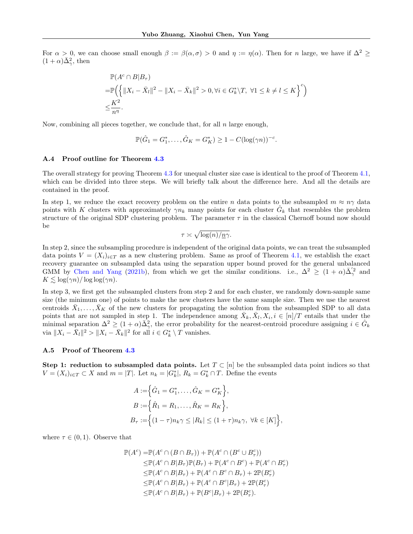For  $\alpha > 0$ , we can choose small enough  $\beta := \beta(\alpha, \sigma) > 0$  and  $\eta := \eta(\alpha)$ . Then for n large, we have if  $\Delta^2 \geq$  $(1+\alpha)\bar{\Delta}^2_{\gamma}$ , then

$$
\mathbb{P}(A^c \cap B|B_{\tau})
$$
  
=  $\mathbb{P}\Big(\Big\{\|X_i - \bar{X}_l\|^2 - \|X_i - \bar{X}_k\|^2 > 0, \forall i \in G_k^* \setminus T, \ \forall 1 \le k \ne l \le K\Big\}^c\Big)$   
 $\le \frac{K^2}{n^{\eta}}.$ 

Now, combining all pieces together, we conclude that, for all  $n$  large enough,

$$
\mathbb{P}(\hat{G}_1 = G_1^*, \dots, \hat{G}_K = G_K^*) \ge 1 - C(\log(\gamma n))^{-c}.
$$

#### A.4 Proof outline for Theorem [4.3](#page-6-0)

The overall strategy for proving Theorem [4.3](#page-6-0) for unequal cluster size case is identical to the proof of Theorem [4.1,](#page-5-0) which can be divided into three steps. We will briefly talk about the difference here. And all the details are contained in the proof.

In step 1, we reduce the exact recovery problem on the entire n data points to the subsampled  $m \approx n\gamma$  data points with K clusters with approximately  $\gamma n_k$  many points for each cluster  $\hat{G}_k$  that resembles the problem structure of the original SDP clustering problem. The parameter  $\tau$  in the classical Chernoff bound now should be

$$
\tau \asymp \sqrt{\log(n)/n\gamma}.
$$

In step 2, since the subsampling procedure is independent of the original data points, we can treat the subsampled data points  $V = (X_i)_{i \in T}$  as a new clustering problem. Same as proof of Theorem [4.1,](#page-5-0) we establish the exact recovery guarantee on subsampled data using the separation upper bound proved for the general unbalanced GMM by [Chen and Yang](#page-9-0) [\(2021b\)](#page-9-0), from which we get the similar conditions. i.e.,  $\Delta^2 \geq (1+\alpha)\bar{\Delta}_{\gamma}^{'2}$  and  $K \leq \log(\gamma n)/\log \log(\gamma n)$ .

In step 3, we first get the subsampled clusters from step 2 and for each cluster, we randomly down-sample same size (the minimum one) of points to make the new clusters have the same sample size. Then we use the nearest centroids  $\bar{X}_1, \ldots, \bar{X}_K$  of the new clusters for propagating the solution from the subsampled SDP to all data points that are not sampled in step 1. The independence among  $\bar{X}_k, \bar{X}_l, X_i, i \in [n]/T$  entails that under the minimal separation  $\Delta^2 \ge (1+\alpha)\bar{\Delta}_{\gamma}^2$ , the error probability for the nearest-centroid procedure assigning  $i \in \hat{G}_k$ via  $||X_i - \bar{X}_l||^2 > ||X_i - \bar{X}_k||^2$  for all  $i \in G_k^* \setminus T$  vanishes.

#### A.5 Proof of Theorem [4.3](#page-6-0)

Step 1: reduction to subsampled data points. Let  $T \subset [n]$  be the subsampled data point indices so that  $V = (X_i)_{i \in T} \subset X$  and  $m = |T|$ . Let  $n_k = |G_k^*|$ ,  $R_k = G_k^* \cap T$ . Define the events

$$
A := \Big\{\hat{G}_1 = G_1^*, \dots, \hat{G}_K = G_K^*\Big\},
$$
  
\n
$$
B := \Big\{\hat{R}_1 = R_1, \dots, \hat{R}_K = R_K\Big\},
$$
  
\n
$$
B_\tau := \Big\{(1-\tau)n_k\gamma \le |R_k| \le (1+\tau)n_k\gamma, \ \forall k \in [K]\Big\},
$$

where  $\tau \in (0,1)$ . Observe that

$$
\mathbb{P}(A^c) = \mathbb{P}(A^c \cap (B \cap B_{\tau})) + \mathbb{P}(A^c \cap (B^c \cup B_{\tau}^c))
$$
  
\n
$$
\leq \mathbb{P}(A^c \cap B|B_{\tau})\mathbb{P}(B_{\tau}) + \mathbb{P}(A^c \cap B^c) + \mathbb{P}(A^c \cap B_{\tau}^c)
$$
  
\n
$$
\leq \mathbb{P}(A^c \cap B|B_{\tau}) + \mathbb{P}(A^c \cap B^c \cap B_{\tau}) + 2\mathbb{P}(B_{\tau}^c)
$$
  
\n
$$
\leq \mathbb{P}(A^c \cap B|B_{\tau}) + \mathbb{P}(A^c \cap B^c|B_{\tau}) + 2\mathbb{P}(B_{\tau}^c)
$$
  
\n
$$
\leq \mathbb{P}(A^c \cap B|B_{\tau}) + \mathbb{P}(B^c|B_{\tau}) + 2\mathbb{P}(B_{\tau}^c).
$$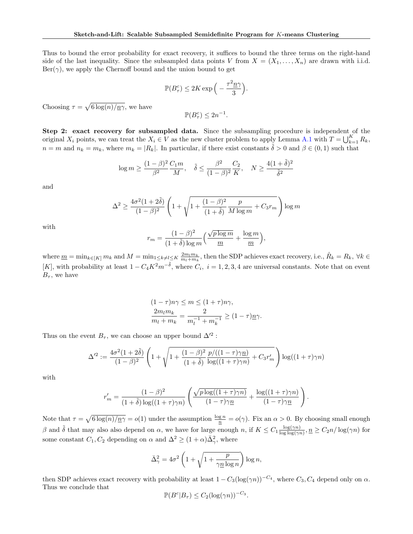Thus to bound the error probability for exact recovery, it suffices to bound the three terms on the right-hand side of the last inequality. Since the subsampled data points V from  $X = (X_1, \ldots, X_n)$  are drawn with i.i.d.  $\text{Ber}(\gamma)$ , we apply the Chernoff bound and the union bound to get

$$
\mathbb{P}(B_{\tau}^c) \le 2K\exp\Big(-\frac{\tau^2 \underline{n}\gamma}{3}\Big).
$$

Choosing  $\tau = \sqrt{6 \log(n)/n}$ , we have

$$
\mathbb{P}(B_{\tau}^c) \le 2n^{-1}.
$$

Step 2: exact recovery for subsampled data. Since the subsampling procedure is independent of the original  $X_i$  points, we can treat the  $X_i \in V$  as the new cluster problem to apply Lemma [A.1](#page-11-0) with  $T = \bigcup_{k=1}^K R_k$ ,  $n = m$  and  $n_k = m_k$ , where  $m_k = |R_k|$ . In particular, if there exist constants  $\tilde{\delta} > 0$  and  $\beta \in (0,1)$  such that

$$
\log m \geq \frac{(1-\beta)^2}{\beta^2} \frac{C_1 m}{M}, \quad \tilde \delta \leq \frac{\beta^2}{(1-\beta)^2} \frac{C_2}{K}, \quad N \geq \frac{4(1+\tilde \delta)^2}{\tilde \delta^2}
$$

and

$$
\Delta^2 \ge \frac{4\sigma^2(1+2\tilde{\delta})}{(1-\beta)^2}\left(1+\sqrt{1+\frac{(1-\beta)^2}{(1+\tilde{\delta})}\frac{p}{M\log m}+C_3r_m}\right)\log m
$$

with

$$
r_m = \frac{(1-\beta)^2}{(1+\tilde{\delta})\log m} \left(\frac{\sqrt{p\log m}}{m} + \frac{\log m}{m}\right),\,
$$

where  $\underline{m} = \min_{k \in [K]} m_k$  and  $M = \min_{1 \leq k \neq l \leq K} \frac{2m_l m_k}{m_l + m_k}$ , then the SDP achieves exact recovery, i.e.,  $\hat{R}_k = R_k$ ,  $\forall k \in$ [K], with probability at least  $1 - C_4 K^2 m^{-\tilde{\delta}}$ , where  $C_i$ ,  $i = 1, 2, 3, 4$  are universal constants. Note that on event  $B_{\tau}$ , we have

$$
(1 - \tau)n\gamma \le m \le (1 + \tau)n\gamma,
$$
  

$$
\frac{2m_l m_k}{m_l + m_k} = \frac{2}{m_l^{-1} + m_k^{-1}} \ge (1 - \tau)n\gamma.
$$

Thus on the event  $B_{\tau}$ , we can choose an upper bound  $\Delta'^2$ :

$$
\Delta'^2 := \frac{4\sigma^2 (1+2\tilde{\delta})}{(1-\beta)^2} \left(1 + \sqrt{1 + \frac{(1-\beta)^2}{(1+\tilde{\delta})} \frac{p/((1-\tau)\gamma p)}{\log((1+\tau)\gamma p)} + C_3 r_m'}\right) \log((1+\tau)\gamma n)
$$

with

$$
r'_{m} = \frac{(1-\beta)^{2}}{(1+\tilde{\delta})\log((1+\tau)\gamma n)} \left( \frac{\sqrt{p\log((1+\tau)\gamma n)}}{(1-\tau)\gamma\underline{n}} + \frac{\log((1+\tau)\gamma n)}{(1-\tau)\gamma\underline{n}} \right)
$$

.

Note that  $\tau = \sqrt{6 \log(n)/n\gamma} = o(1)$  under the assumption  $\frac{\log n}{n} = o(\gamma)$ . Fix an  $\alpha > 0$ . By choosing small enough β and δ that may also also depend on α, we have for large enough n, if  $K \n\leq C_1 \frac{\log(\gamma n)}{\log \log(\gamma)}$  $\frac{\log(\gamma n)}{\log \log(\gamma n)}, \underline{n} \geq C_2 n / \log(\gamma n)$  for some constant  $C_1, C_2$  depending on  $\alpha$  and  $\Delta^2 \ge (1 + \alpha) \bar{\Delta}_{\gamma}^2$ , where

$$
\bar{\Delta}_{\gamma}^{2} = 4\sigma^{2} \left( 1 + \sqrt{1 + \frac{p}{\gamma \underline{n} \log n}} \right) \log n,
$$

then SDP achieves exact recovery with probability at least  $1 - C_3(\log(\gamma n))^{-C_4}$ , where  $C_3, C_4$  depend only on  $\alpha$ . Thus we conclude that

$$
\mathbb{P}(B^c|B_{\tau}) \le C_2(\log(\gamma n))^{-C_3}.
$$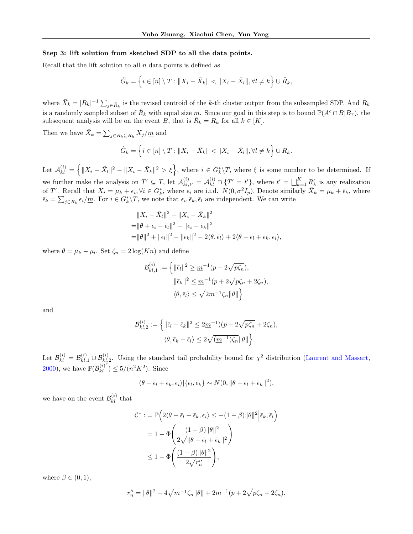#### Step 3: lift solution from sketched SDP to all the data points.

Recall that the lift solution to all  $n$  data points is defined as

$$
\hat{G}_k = \left\{ i \in [n] \setminus T : \|X_i - \bar{X}_k\| < \|X_i - \bar{X}_l\|, \forall l \neq k \right\} \cup \hat{R}_k,
$$

where  $\bar{X}_k = |\tilde{R}_k|^{-1} \sum_{j \in \tilde{R}_k}$  is the revised centroid of the k-th cluster output from the subsampled SDP. And  $\tilde{R}_k$ is a randomly sampled subset of  $\hat{R}_k$  with equal size  $\underline{m}$ . Since our goal in this step is to bound  $\mathbb{P}(A^c \cap B|B_\tau)$ , the subsequent analysis will be on the event B, that is  $\hat{R}_k = R_k$  for all  $k \in [K]$ .

Then we have  $\bar{X}_k = \sum_{j \in \tilde{R}_k \subseteq R_k} X_j / \underline{m}$  and

$$
\hat{G}_k = \left\{ i \in [n] \setminus T : \|X_i - \bar{X}_k\| < \|X_i - \bar{X}_l\|, \forall l \neq k \right\} \cup R_k.
$$

Let  $\mathcal{A}_{kl}^{(i)} = \left\{ ||X_i - \bar{X}_l||^2 - ||X_i - \bar{X}_k||^2 > \xi \right\}$ , where  $i \in G_k^*\backslash T$ , where  $\xi$  is some number to be determined. If we further make the analysis on  $T' \subseteq T$ , let  $\mathcal{A}_{kl,t'}^{(i)} = \mathcal{A}_{kl}^{(i)} \cap \{T' = t'\}$ , where  $t' = \bigsqcup_{k=1}^K R'_k$  is any realization of T'. Recall that  $X_i = \mu_k + \epsilon_i$ ,  $\forall i \in G_k^*$ , where  $\epsilon_i$  are i.i.d.  $N(0, \sigma^2 I_p)$ . Denote similarly  $\bar{X}_k = \mu_k + \bar{\epsilon}_k$ , where  $\bar{\epsilon}_k = \sum_{j \in R_k} \epsilon_i / \underline{m}$ . For  $i \in G_k^* \backslash T$ , we note that  $\epsilon_i, \bar{\epsilon}_k, \bar{\epsilon}_l$  are independent. We can write

$$
||X_i - \bar{X}_l||^2 - ||X_i - \bar{X}_k||^2
$$
  
=  $||\theta + \epsilon_i - \bar{\epsilon}_l||^2 - ||\epsilon_i - \bar{\epsilon}_k||^2$   
=  $||\theta||^2 + ||\bar{\epsilon}_l||^2 - ||\bar{\epsilon}_k||^2 - 2\langle \theta, \bar{\epsilon}_l \rangle + 2\langle \theta - \bar{\epsilon}_l + \bar{\epsilon}_k, \epsilon_i \rangle$ ,

where  $\theta = \mu_k - \mu_l$ . Set  $\zeta_n = 2 \log(K_n)$  and define

$$
\begin{aligned} \mathcal{B}^{(i)}_{kl,1} := \Big\{ & \|\bar{\epsilon}_l\|^2 \geq \underline{m}^{-1} (p-2\sqrt{p\zeta_n}), \\ & \|\bar{\epsilon}_k\|^2 \leq \underline{m}^{-1} (p+2\sqrt{p\zeta_n} + 2\zeta_n), \\ & \langle \theta, \bar{\epsilon}_l \rangle \leq \sqrt{2\underline{m}^{-1}\zeta_n} \|\theta\| \Big\} \end{aligned}
$$

and

$$
\mathcal{B}_{kl,2}^{(i)} := \left\{ \|\bar{\epsilon}_l - \bar{\epsilon}_k\|^2 \le 2\underline{m}^{-1} \Big) (p + 2\sqrt{p\zeta_n} + 2\zeta_n), \right\}
$$

$$
\langle \theta, \bar{\epsilon}_k - \bar{\epsilon}_l \rangle \le 2\sqrt{(\underline{m}^{-1})\zeta_n} \|\theta\| \right\}.
$$

Let  $\mathcal{B}_{kl}^{(i)} = \mathcal{B}_{kl,1}^{(i)} \cup \mathcal{B}_{kl,2}^{(i)}$ . Using the standard tail probability bound for  $\chi^2$  distribution [\(Laurent and Massart,](#page-9-0) [2000\)](#page-9-0), we have  $\mathbb{P}(\mathcal{B}^{(i)^c}_{kl}) \leq 5/(n^2K^2)$ . Since

$$
\langle \theta - \bar{\epsilon}_l + \bar{\epsilon}_k, \epsilon_i \rangle | \{ \bar{\epsilon}_l, \bar{\epsilon}_k \} \sim N(0, \|\theta - \bar{\epsilon}_l + \bar{\epsilon}_k\|^2),
$$

we have on the event  $\mathcal{B}_{kl}^{(i)}$  that

$$
\mathcal{C}^* := \mathbb{P}\Big(2\langle \theta - \bar{\epsilon}_l + \bar{\epsilon}_k, \epsilon_i \rangle \leq -(1 - \beta) \|\theta\|^2 \Big| \bar{\epsilon}_k, \bar{\epsilon}_l\Big)
$$
  
=  $1 - \Phi\Bigg(\frac{(1 - \beta) \|\theta\|^2}{2\sqrt{\|\theta - \bar{\epsilon}_l + \bar{\epsilon}_k\|^2}}\Bigg)$   
 $\leq 1 - \Phi\Bigg(\frac{(1 - \beta) \|\theta\|^2}{2\sqrt{r_n'}}\Bigg),$ 

where  $\beta \in (0,1)$ ,

$$
r_n'' = \|\theta\|^2 + 4\sqrt{m^{-1}\zeta_n}\|\theta\| + 2m^{-1}(p + 2\sqrt{p\zeta_n} + 2\zeta_n).
$$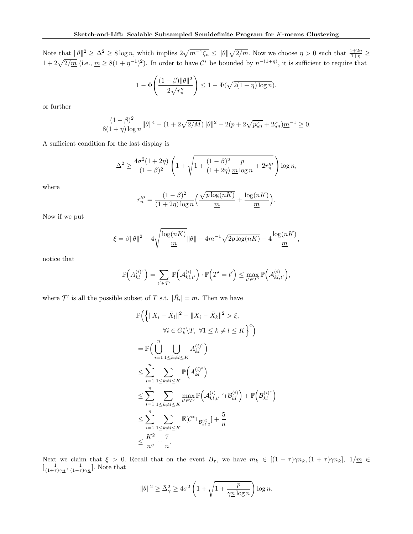Note that  $\|\theta\|^2 \geq \Delta^2 \geq 8 \log n$ , which implies  $2\sqrt{\underline{m}^{-1}\zeta_n} \leq \|\theta\|\sqrt{2/\underline{m}}$ . Now we choose  $\eta > 0$  such that  $\frac{1+2\eta}{1+\eta} \geq$  $1+2\sqrt{2/m}$  (i.e.,  $m \geq 8(1+\eta^{-1})^2$ ). In order to have  $\mathcal{C}^*$  be bounded by  $n^{-(1+\eta)}$ , it is sufficient to require that

$$
1 - \Phi\left(\frac{(1-\beta)\|\theta\|^2}{2\sqrt{r_n''}}\right) \le 1 - \Phi(\sqrt{2(1+\eta)\log n}).
$$

or further

$$
\frac{(1-\beta)^2}{8(1+\eta)\log n} \|\theta\|^4 - (1+2\sqrt{2/M})\|\theta\|^2 - 2(p+2\sqrt{p\zeta_n} + 2\zeta_n)\underline{m}^{-1} \ge 0.
$$

A sufficient condition for the last display is

$$
\Delta^2 \ge \frac{4\sigma^2(1+2\eta)}{(1-\beta)^2} \left(1 + \sqrt{1 + \frac{(1-\beta)^2}{(1+2\eta)}\frac{p}{\underline{m}\log n} + 2r_n'''}\right) \log n,
$$

where

$$
r_n''' = \frac{(1-\beta)^2}{(1+2\eta)\log n} \left( \frac{\sqrt{p\log(nK)}}{\underline{m}} + \frac{\log(nK)}{\underline{m}} \right).
$$

Now if we put

$$
\xi = \beta \|\theta\|^2 - 4\sqrt{\frac{\log(nK)}{m}}\|\theta\| - 4\underline{m}^{-1}\sqrt{2p\log(nK)} - 4\frac{\log(nK)}{\underline{m}},
$$

notice that

$$
\mathbb{P}\Big(A_{kl}^{(i)^c}\Big)=\sum_{t'\in\mathcal{T}'}\mathbb{P}\Big(A_{kl,t'}^{(i)}\Big)\cdot\mathbb{P}\Big(T'=t'\Big)\leq\max_{t'\in\mathcal{T}'}\mathbb{P}\Big(A_{kl,t'}^{(i)}\Big),
$$

where  $\mathcal{T}'$  is all the possible subset of T s.t.  $|\tilde{R}_i| = \underline{m}$ . Then we have

$$
\mathbb{P}\Big(\Big\{\|X_i - \bar{X}_l\|^2 - \|X_i - \bar{X}_k\|^2 > \xi, \forall i \in G_k^* \setminus T, \ \forall 1 \le k \ne l \le K\Big\}^c\Big) \n= \mathbb{P}\Big(\bigcup_{i=1}^n \bigcup_{1 \le k \ne l \le K} A_{kl}^{(i)^c}\Big) \n\le \sum_{i=1}^n \sum_{1 \le k \ne l \le K} \mathbb{P}\Big(A_{kl}^{(i)^c}\Big) \n\le \sum_{i=1}^n \sum_{1 \le k \ne l \le K} \max_{t' \in T'} \mathbb{P}\Big(A_{kl,t'}^{(i)} \cap \mathcal{B}_{kl}^{(i)}\Big) + \mathbb{P}\Big(\mathcal{B}_{kl}^{(i)^c}\Big) \n\le \sum_{i=1}^n \sum_{1 \le k \ne l \le K} \mathbb{E}[C^*1_{\mathcal{B}_{kl,2}^{(i)}}] + \frac{5}{n} \n\le \frac{K^2}{n^{\eta}} + \frac{7}{n}.
$$

Next we claim that  $\xi > 0$ . Recall that on the event  $B_{\tau}$ , we have  $m_k \in [(1 - \tau)\gamma n_k, (1 + \tau)\gamma n_k], 1/\underline{m} \in$  $\left[\frac{1}{(1+\tau)\gamma n}, \frac{1}{(1-\tau)\gamma n}\right]$ . Note that

$$
\|\theta\|^2 \geq \bar{\Delta}_\gamma^2 \geq 4\sigma^2 \left(1 + \sqrt{1 + \frac{p}{\gamma \underline{n} \log n}} \right) \log n.
$$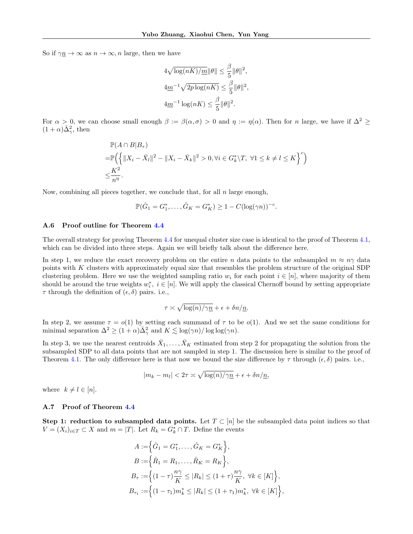So if  $\gamma n \to \infty$  as  $n \to \infty$ , n large, then we have

$$
4\sqrt{\log(nK)/m}\|\theta\| \le \frac{\beta}{5} \|\theta\|^2,
$$
  

$$
4\underline{m}^{-1}\sqrt{2p\log(nK)} \le \frac{\beta}{5} \|\theta\|^2,
$$
  

$$
4\underline{m}^{-1}\log(nK) \le \frac{\beta}{5} \|\theta\|^2.
$$

For  $\alpha > 0$ , we can choose small enough  $\beta := \beta(\alpha, \sigma) > 0$  and  $\eta := \eta(\alpha)$ . Then for n large, we have if  $\Delta^2 \geq$  $(1+\alpha)\bar{\Delta}^2_{\gamma}$ , then

$$
\mathbb{P}(A \cap B|B_{\tau})
$$
  
=  $\mathbb{P}\Big(\Big\{\|X_i - \bar{X}_l\|^2 - \|X_i - \bar{X}_k\|^2 > 0, \forall i \in G_k^* \setminus T, \ \forall 1 \le k \ne l \le K\Big\}^c\Big)$   
 $\le \frac{K^2}{n^{\eta}}.$ 

Now, combining all pieces together, we conclude that, for all  $n$  large enough,

$$
\mathbb{P}(\hat{G}_1 = G_1^*, \dots, \hat{G}_K = G_K^*) \ge 1 - C(\log(\gamma n))^{-c}.
$$

#### A.6 Proof outline for Theorem [4.4](#page-6-0)

The overall strategy for proving Theorem [4.4](#page-6-0) for unequal cluster size case is identical to the proof of Theorem [4.1,](#page-5-0) which can be divided into three steps. Again we will briefly talk about the difference here.

In step 1, we reduce the exact recovery problem on the entire n data points to the subsampled  $m \approx n\gamma$  data points with K clusters with approximately equal size that resembles the problem structure of the original SDP clustering problem. Here we use the weighted sampling ratio  $w_i$  for each point  $i \in [n]$ , where majority of them should be around the true weights  $w_i^*$ ,  $i \in [n]$ . We will apply the classical Chernoff bound by setting appropriate  $\tau$  through the definition of  $(\epsilon, \delta)$  pairs. i.e.,

$$
\tau \asymp \sqrt{\log(n)/\gamma \underline{n}} + \epsilon + \delta n/\underline{n}.
$$

In step 2, we assume  $\tau = o(1)$  by setting each summand of  $\tau$  to be  $o(1)$ . And we set the same conditions for minimal separation  $\Delta^2 \ge (1+\alpha)\bar{\Delta}^2_{\gamma}$  and  $K \lesssim \log(\gamma n)/\log \log(\gamma n)$ .

In step 3, we use the nearest centroids  $\bar{X}_1, \ldots, \bar{X}_K$  estimated from step 2 for propagating the solution from the subsampled SDP to all data points that are not sampled in step 1. The discussion here is similar to the proof of Theorem [4.1.](#page-5-0) The only difference here is that now we bound the size difference by  $\tau$  through  $(\epsilon, \delta)$  pairs. i.e.,

$$
|m_k - m_l| < 2\tau \asymp \sqrt{\log(n)/\gamma\underline{n}} + \epsilon + \delta n/\underline{n},
$$

where  $k \neq l \in [n]$ .

#### A.7 Proof of Theorem [4.4](#page-6-0)

Step 1: reduction to subsampled data points. Let  $T \subset [n]$  be the subsampled data point indices so that  $V = (X_i)_{i \in T} \subset X$  and  $m = |T|$ . Let  $R_k = G_k^* \cap T$ . Define the events

$$
A := \left\{ \hat{G}_1 = G_1^*, \dots, \hat{G}_K = G_K^* \right\},
$$
  
\n
$$
B := \left\{ \hat{R}_1 = R_1, \dots, \hat{R}_K = R_K \right\},
$$
  
\n
$$
B_\tau := \left\{ (1 - \tau) \frac{n\gamma}{K} \le |R_k| \le (1 + \tau) \frac{n\gamma}{K}, \forall k \in [K] \right\},
$$
  
\n
$$
B_{\tau_1} := \left\{ (1 - \tau_1) m_k^* \le |R_k| \le (1 + \tau_1) m_k^*, \forall k \in [K] \right\},
$$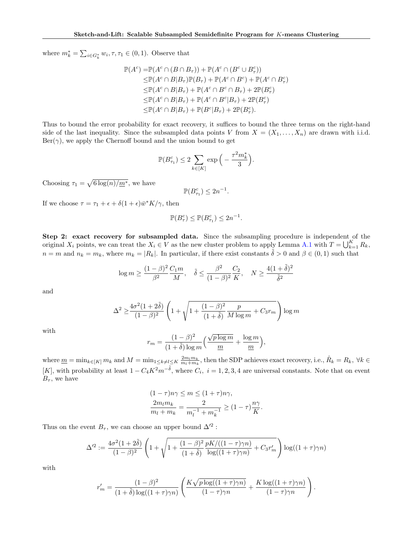where  $m_k^* = \sum_{i \in G_k^*} w_i, \tau, \tau_1 \in (0, 1)$ . Observe that

$$
\mathbb{P}(A^c) = \mathbb{P}(A^c \cap (B \cap B_{\tau})) + \mathbb{P}(A^c \cap (B^c \cup B_{\tau}^c))
$$
  
\n
$$
\leq \mathbb{P}(A^c \cap B|B_{\tau})\mathbb{P}(B_{\tau}) + \mathbb{P}(A^c \cap B^c) + \mathbb{P}(A^c \cap B_{\tau}^c)
$$
  
\n
$$
\leq \mathbb{P}(A^c \cap B|B_{\tau}) + \mathbb{P}(A^c \cap B^c \cap B_{\tau}) + 2\mathbb{P}(B_{\tau}^c)
$$
  
\n
$$
\leq \mathbb{P}(A^c \cap B|B_{\tau}) + \mathbb{P}(A^c \cap B^c|B_{\tau}) + 2\mathbb{P}(B_{\tau}^c)
$$
  
\n
$$
\leq \mathbb{P}(A^c \cap B|B_{\tau}) + \mathbb{P}(B^c|B_{\tau}) + 2\mathbb{P}(B_{\tau}^c).
$$

Thus to bound the error probability for exact recovery, it suffices to bound the three terms on the right-hand side of the last inequality. Since the subsampled data points V from  $X = (X_1, \ldots, X_n)$  are drawn with i.i.d.  $\text{Ber}(\gamma)$ , we apply the Chernoff bound and the union bound to get

$$
\mathbb{P}(B_{\tau_1}^c) \leq 2 \sum_{k \in [K]} \exp\Big(-\frac{\tau^2 m_k^*}{3}\Big).
$$

Choosing  $\tau_1 = \sqrt{6 \log(n)/m^*}$ , we have

$$
\mathbb{P}(B_{\tau_1}^c) \le 2n^{-1}.
$$

If we choose  $\tau = \tau_1 + \epsilon + \delta(1 + \epsilon)\bar{w}^*K/\gamma$ , then

$$
\mathbb{P}(B^c_\tau) \leq \mathbb{P}(B^c_{\tau_1}) \leq 2n^{-1}.
$$

Step 2: exact recovery for subsampled data. Since the subsampling procedure is independent of the original  $X_i$  points, we can treat the  $X_i \in V$  as the new cluster problem to apply Lemma [A.1](#page-11-0) with  $T = \bigcup_{k=1}^K R_k$ ,  $n = m$  and  $n_k = m_k$ , where  $m_k = |R_k|$ . In particular, if there exist constants  $\delta > 0$  and  $\beta \in (0, 1)$  such that

$$
\log m \ge \frac{(1-\beta)^2}{\beta^2} \frac{C_1 m}{M}, \quad \tilde{\delta} \le \frac{\beta^2}{(1-\beta)^2} \frac{C_2}{K}, \quad N \ge \frac{4(1+\tilde{\delta})^2}{\tilde{\delta}^2}
$$

and

$$
\Delta^2 \ge \frac{4\sigma^2 (1+2\tilde{\delta})}{(1-\beta)^2} \left(1 + \sqrt{1 + \frac{(1-\beta)^2}{(1+\tilde{\delta})} \frac{p}{M \log m} + C_3 r_m}\right) \log m
$$

with

$$
r_m = \frac{(1-\beta)^2}{(1+\tilde{\delta})\log m} \left(\frac{\sqrt{p\log m}}{m} + \frac{\log m}{m}\right),\,
$$

where  $\underline{m} = \min_{k \in [K]} m_k$  and  $M = \min_{1 \le k \ne l \le K} \frac{2m_l m_k}{m_l + m_k}$ , then the SDP achieves exact recovery, i.e.,  $\hat{R}_k = R_k$ ,  $\forall k \in$ [K], with probability at least  $1 - C_4 K^2 m^{-\tilde{\delta}}$ , where  $C_i$ ,  $i = 1, 2, 3, 4$  are universal constants. Note that on event  $B_{\tau}$ , we have

$$
(1 - \tau)n\gamma \le m \le (1 + \tau)n\gamma,
$$
  

$$
\frac{2m_l m_k}{m_l + m_k} = \frac{2}{m_l^{-1} + m_k^{-1}} \ge (1 - \tau)\frac{n\gamma}{K}.
$$

Thus on the event  $B_{\tau}$ , we can choose an upper bound  $\Delta'^2$ :

$$
\Delta^{2} := \frac{4\sigma^{2}(1+2\tilde{\delta})}{(1-\beta)^{2}} \left(1 + \sqrt{1 + \frac{(1-\beta)^{2}}{(1+\tilde{\delta})} \frac{pK/((1-\tau)\gamma n)}{\log((1+\tau)\gamma n)} + C_{3}r'_{m}}\right) \log((1+\tau)\gamma n)
$$

with

$$
r'_{m} = \frac{(1-\beta)^{2}}{(1+\tilde{\delta})\log((1+\tau)\gamma n)} \left( \frac{K\sqrt{p\log((1+\tau)\gamma n)}}{(1-\tau)\gamma n} + \frac{K\log((1+\tau)\gamma n)}{(1-\tau)\gamma n} \right).
$$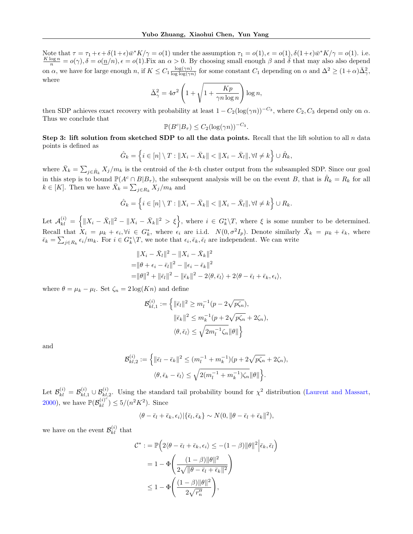Note that  $\tau = \tau_1 + \epsilon + \delta(1+\epsilon)\bar{w}^*K/\gamma = o(1)$  under the assumption  $\tau_1 = o(1), \epsilon = o(1), \delta(1+\epsilon)\bar{w}^*K/\gamma = o(1)$ . i.e.  $\frac{K \log n}{n} = o(\gamma), \delta = o(\underline{n}/n), \epsilon = o(1)$ . Fix an  $\alpha > 0$ . By choosing small enough  $\beta$  and  $\tilde{\delta}$  that may also also depend on  $\alpha$ , we have for large enough n, if  $K \leq C_1 \frac{\log(\gamma n)}{\log \log(\gamma n)}$  $\frac{\log(\gamma n)}{\log \log(\gamma n)}$  for some constant  $C_1$  depending on  $\alpha$  and  $\Delta^2 \ge (1+\alpha)\bar{\Delta}_{\gamma}^2$ , where

$$
\bar{\Delta}_{\gamma}^{2} = 4\sigma^{2} \left( 1 + \sqrt{1 + \frac{Kp}{\gamma n \log n}} \right) \log n,
$$

then SDP achieves exact recovery with probability at least  $1 - C_2(\log(\gamma n))^{-C_3}$ , where  $C_2, C_3$  depend only on  $\alpha$ . Thus we conclude that

$$
\mathbb{P}(B^c|B_{\tau}) \le C_2(\log(\gamma n))^{-C_3}.
$$

Step 3: lift solution from sketched SDP to all the data points. Recall that the lift solution to all  $n$  data points is defined as

$$
\hat{G}_k = \left\{ i \in [n] \setminus T : \|X_i - \bar{X}_k\| < \|X_i - \bar{X}_l\|, \forall l \neq k \right\} \cup \hat{R}_k,
$$

where  $\bar{X}_k = \sum_{j \in \hat{R}_k} X_j/m_k$  is the centroid of the k-th cluster output from the subsampled SDP. Since our goal in this step is to bound  $\mathbb{P}(A^c \cap B|B_\tau)$ , the subsequent analysis will be on the event B, that is  $\hat{R}_k = R_k$  for all  $k \in [K]$ . Then we have  $\overline{X}_k = \sum_{j \in R_k} X_j/m_k$  and

$$
\hat{G}_k = \left\{ i \in [n] \setminus T : \|X_i - \bar{X}_k\| < \|X_i - \bar{X}_l\|, \forall l \neq k \right\} \cup R_k.
$$

Let  $\mathcal{A}_{kl}^{(i)} = \left\{ \|X_i - \bar{X}_l\|^2 - \|X_i - \bar{X}_k\|^2 > \xi \right\}$ , where  $i \in G_k^*\backslash T$ , where  $\xi$  is some number to be determined. Recall that  $X_i = \mu_k + \epsilon_i, \forall i \in G_k^*$ , where  $\epsilon_i$  are i.i.d.  $N(0, \sigma^2 I_p)$ . Denote similarly  $\bar{X}_k = \mu_k + \bar{\epsilon}_k$ , where  $\bar{\epsilon}_k = \sum_{j \in R_k} \epsilon_i/m_k$ . For  $i \in G_k^* \backslash T$ , we note that  $\epsilon_i, \bar{\epsilon}_k, \bar{\epsilon}_l$  are independent. We can write

$$
||X_i - \bar{X}_l||^2 - ||X_i - \bar{X}_k||^2
$$
  
=  $||\theta + \epsilon_i - \bar{\epsilon}_l||^2 - ||\epsilon_i - \bar{\epsilon}_k||^2$   
=  $||\theta||^2 + ||\bar{\epsilon}_l||^2 - ||\bar{\epsilon}_k||^2 - 2\langle \theta, \bar{\epsilon}_l \rangle + 2\langle \theta - \bar{\epsilon}_l + \bar{\epsilon}_k, \epsilon_i \rangle$ ,

where  $\theta = \mu_k - \mu_l$ . Set  $\zeta_n = 2 \log(K_n)$  and define

$$
\mathcal{B}_{kl,1}^{(i)} := \left\{ \|\bar{\epsilon}_{l}\|^2 \ge m_l^{-1} (p - 2\sqrt{p\zeta_n}), \|\bar{\epsilon}_{k}\|^2 \le m_k^{-1} (p + 2\sqrt{p\zeta_n} + 2\zeta_n), \langle \theta, \bar{\epsilon}_{l} \rangle \le \sqrt{2m_l^{-1}\zeta_n} \|\theta\|\right\}
$$

and

$$
\mathcal{B}_{kl,2}^{(i)} := \left\{ \|\bar{\epsilon}_l - \bar{\epsilon}_k\|^2 \le (m_l^{-1} + m_k^{-1})(p + 2\sqrt{p\zeta_n} + 2\zeta_n), \right\}
$$

$$
\langle \theta, \bar{\epsilon}_k - \bar{\epsilon}_l \rangle \le \sqrt{2(m_l^{-1} + m_k^{-1})\zeta_n} \|\theta\|\right\}.
$$

Let  $\mathcal{B}_{kl}^{(i)} = \mathcal{B}_{kl,1}^{(i)} \cup \mathcal{B}_{kl,2}^{(i)}$ . Using the standard tail probability bound for  $\chi^2$  distribution [\(Laurent and Massart,](#page-9-0) [2000\)](#page-9-0), we have  $\mathbb{P}(\mathcal{B}_{kl}^{(i)^c}) \le 5/(n^2K^2)$ . Since

$$
\langle \theta - \bar{\epsilon}_l + \bar{\epsilon}_k, \epsilon_i \rangle | \{ \bar{\epsilon}_l, \bar{\epsilon}_k \} \sim N(0, \|\theta - \bar{\epsilon}_l + \bar{\epsilon}_k\|^2),
$$

we have on the event  $\mathcal{B}_{kl}^{(i)}$  that

$$
C^* := \mathbb{P}\left(2\langle\theta - \bar{\epsilon}_l + \bar{\epsilon}_k, \epsilon_i\rangle \le -(1 - \beta)\|\theta\|^2 \Big|\bar{\epsilon}_k, \bar{\epsilon}_l\right)
$$
  
=  $1 - \Phi\left(\frac{(1 - \beta)\|\theta\|^2}{2\sqrt{\|\theta - \bar{\epsilon}_l + \bar{\epsilon}_k\|^2}}\right)$   
 $\le 1 - \Phi\left(\frac{(1 - \beta)\|\theta\|^2}{2\sqrt{r_n'}}\right),$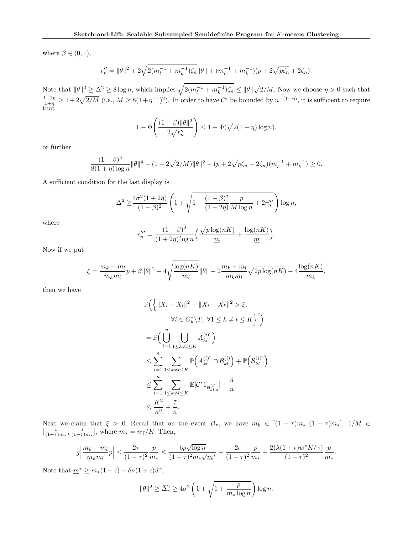where  $\beta \in (0,1)$ ,

$$
r_n'' = \|\theta\|^2 + 2\sqrt{2(m_l^{-1} + m_k^{-1})\zeta_n}\|\theta\| + (m_l^{-1} + m_k^{-1})(p + 2\sqrt{p\zeta_n} + 2\zeta_n).
$$

Note that  $\|\theta\|^2 \geq \Delta^2 \geq 8 \log n$ , which implies  $\sqrt{2(m_l^{-1} + m_k^{-1}) \zeta_n} \leq \|\theta\| \sqrt{2/M}$ . Now we choose  $\eta > 0$  such that  $\frac{1+2\eta}{1+\eta} \geq 1+2\sqrt{2/M}$  (i.e.,  $M \geq 8(1+\eta^{-1})^2$ ). In order to have  $\mathcal{C}^*$  be bounded by  $n^{-(1+\eta)}$ , it is sufficient to require that

$$
1 - \Phi\left(\frac{(1-\beta)\|\theta\|^2}{2\sqrt{r_n''}}\right) \le 1 - \Phi(\sqrt{2(1+\eta)\log n}).
$$

or further

$$
\frac{(1-\beta)^2}{8(1+\eta)\log n} \|\theta\|^4 - (1+2\sqrt{2/M})\|\theta\|^2 - (p+2\sqrt{p\zeta_n} + 2\zeta_n)(m_l^{-1} + m_k^{-1}) \ge 0.
$$

A sufficient condition for the last display is

$$
\Delta^2 \ge \frac{4\sigma^2(1+2\eta)}{(1-\beta)^2} \left(1 + \sqrt{1 + \frac{(1-\beta)^2}{(1+2\eta)}\frac{p}{M\log n} + 2r_n'''}\right) \log n,
$$

where

$$
r_n''' = \frac{(1-\beta)^2}{(1+2\eta)\log n} \Big(\frac{\sqrt{p\log(nK)}}{m} + \frac{\log(nK)}{m}\Big)
$$

.

Now if we put

$$
\xi = \frac{m_k - m_l}{m_k m_l} p + \beta ||\theta||^2 - 4\sqrt{\frac{\log(nK)}{m_l}} ||\theta|| - 2\frac{m_k + m_l}{m_k m_l} \sqrt{2p \log(nK)} - 4\frac{\log(nK)}{m_k},
$$

then we have

$$
\mathbb{P}\Big(\Big\{\|X_i - \bar{X}_l\|^2 - \|X_i - \bar{X}_k\|^2 > \xi, \forall i \in G_k^* \setminus T, \ \forall 1 \le k \ne l \le K\Big\}^c\Big) \n= \mathbb{P}\Big(\bigcup_{i=1}^n \bigcup_{1 \le k \ne l \le K} A_{kl}^{(i)^c}\Big) \n\le \sum_{i=1}^n \sum_{1 \le k \ne l \le K} \mathbb{P}\Big(A_{kl}^{(i)^c} \cap \mathcal{B}_{kl}^{(i)}\Big) + \mathbb{P}\Big(\mathcal{B}_{kl}^{(i)^c}\Big) \n\le \sum_{i=1}^n \sum_{1 \le k \ne l \le K} \mathbb{E}[C^*1_{\mathcal{B}_{kl,2}^{(i)}}] + \frac{5}{n} \n\le \frac{K^2}{n^{\eta}} + \frac{7}{n}.
$$

Next we claim that  $\xi > 0$ . Recall that on the event  $B_{\tau}$ , we have  $m_k \in [(1 - \tau)m_*, (1 + \tau)m_*], 1/M \in$  $\left[\frac{1}{(1+\tau)m_*}, \frac{1}{(1-\tau)m_*}\right]$ , where  $m_* = n\gamma/K$ . Then,

$$
g\left|\frac{m_k-m_l}{m_km_l}p\right|\leq \frac{2\tau}{(1-\tau)^2}\frac{p}{m_*}\leq \frac{6p\sqrt{\log n}}{(1-\tau)^2m_*\sqrt{m^*}}+\frac{2\epsilon}{(1-\tau)^2}\frac{p}{m_*}+\frac{2(\lambda(1+\epsilon)\bar{w}^*K/\gamma)}{(1-\tau)^2}\frac{p}{m_*}.
$$

Note that  $\underline{m}^* \geq m_*(1 - \epsilon) - \delta n (1 + \epsilon) \overline{w}^*$ ,

$$
\|\theta\|^2 \ge \bar{\Delta}^2_{\gamma} \ge 4\sigma^2 \left(1 + \sqrt{1 + \frac{p}{m_* \log n}}\right) \log n.
$$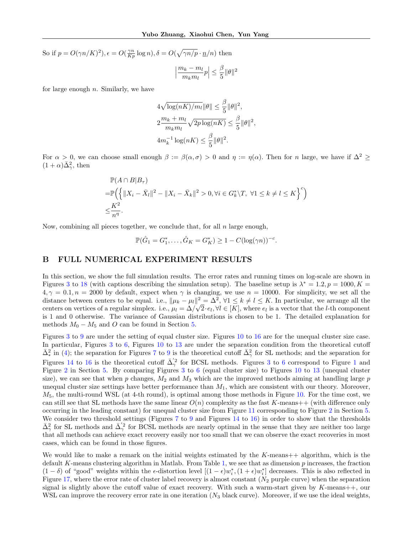<span id="page-24-0"></span>So if  $p = O(\gamma n / K)^2$ ,  $\epsilon = O(\frac{\gamma n}{Kp} \log n)$ ,  $\delta = O(\sqrt{\gamma n / p} \cdot \frac{n}{n})$  then

$$
\Big|\frac{m_k-m_l}{m_km_l}p\Big|\leq \frac{\beta}{5}\|\theta\|^2
$$

for large enough  $n$ . Similarly, we have

$$
4\sqrt{\log(nK)/m_l}\|\theta\| \le \frac{\beta}{5} \|\theta\|^2,
$$
  

$$
2\frac{m_k + m_l}{m_k m_l} \sqrt{2p \log(nK)} \le \frac{\beta}{5} \|\theta\|^2,
$$
  

$$
4m_k^{-1} \log(nK) \le \frac{\beta}{5} \|\theta\|^2.
$$

For  $\alpha > 0$ , we can choose small enough  $\beta := \beta(\alpha, \sigma) > 0$  and  $\eta := \eta(\alpha)$ . Then for n large, we have if  $\Delta^2 \geq$  $(1+\alpha)\bar{\Delta}^2_{\gamma}$ , then

$$
\mathbb{P}(A \cap B|B_{\tau})
$$
  
=  $\mathbb{P}\Big(\Big\{\|X_i - \bar{X}_l\|^2 - \|X_i - \bar{X}_k\|^2 > 0, \forall i \in G_k^* \setminus T, \ \forall 1 \le k \ne l \le K\Big\}^c\Big)$   
 $\le \frac{K^2}{n^{\eta}}.$ 

Now, combining all pieces together, we conclude that, for all  $n$  large enough,

$$
\mathbb{P}(\hat{G}_1 = G_1^*, \dots, \hat{G}_K = G_K^*) \ge 1 - C(\log(\gamma n))^{-c}.
$$

## B FULL NUMERICAL EXPERIMENT RESULTS

In this section, we show the full simulation results. The error rates and running times on log-scale are shown in Figures [3](#page-25-0) to [18](#page-30-0) (with captions describing the simulation setup). The baseline setup is  $\lambda^* = 1.2, p = 1000, K =$  $4, \gamma = 0.1, n = 2000$  by default, expect when  $\gamma$  is changing, we use  $n = 10000$ . For simplicity, we set all the distance between centers to be equal. i.e.,  $\|\mu_k - \mu_l\|^2 = \Delta^2$ ,  $\forall 1 \leq k \neq l \leq K$ . In particular, we arrange all the centers on vertices of a regular simplex. i.e.,  $\mu_l = \Delta/\sqrt{2} \cdot e_l$ ,  $\forall l \in [K]$ , where  $e_l$  is a vector that the *l*-th component is 1 and 0 otherwise. The variance of Gaussian distributions is chosen to be 1. The detailed explanation for methods  $M_0 - M_5$  and O can be found in Section [5.](#page-6-0)

Figures [3](#page-25-0) to [9](#page-27-0) are under the setting of equal cluster size. Figures [10](#page-27-0) to [16](#page-29-0) are for the unequal cluster size case. In particular, Figures [3](#page-25-0) to [6,](#page-26-0) Figures [10](#page-27-0) to [13](#page-28-0) are under the separation condition from the theoretical cutoff  $\bar{\Delta}^2_*$  in [\(4\)](#page-2-0); the separation for Figures [7](#page-26-0) to [9](#page-27-0) is the theoretical cutoff  $\bar{\Delta}^2_{\gamma}$  for SL methods; and the separation for Figures [14](#page-29-0) to [16](#page-29-0) is the theoretical cutoff  $\bar{\Delta}'^2$  for BCSL methods. Figures [3](#page-25-0) to [6](#page-26-0) correspond to Figure [1](#page-7-0) and Figure [2](#page-8-0) in Section [5.](#page-6-0) By comparing Figures [3](#page-25-0) to [6](#page-26-0) (equal cluster size) to Figures [10](#page-27-0) to [13](#page-28-0) (unequal cluster size), we can see that when p changes,  $M_2$  and  $M_3$  which are the improved methods aiming at handling large p unequal cluster size settings have better performance than  $M_1$ , which are consistent with our theory. Moreover,  $M_5$ , the multi-round WSL (at 4-th round), is optimal among those methods in Figure [10.](#page-27-0) For the time cost, we can still see that SL methods have the same linear  $O(n)$  complexity as the fast K-means++ (with difference only occurring in the leading constant) for unequal cluster size from Figure [11](#page-28-0) corresponding to Figure [2](#page-8-0) in Section [5.](#page-6-0) We consider two threshold settings (Figures [7](#page-26-0) to [9](#page-27-0) and Figures [14](#page-29-0) to [16\)](#page-29-0) in order to show that the thresholds  $\bar{\Delta}^2_{\gamma}$  for SL methods and  $\bar{\Delta}'^2_{\gamma}$  for BCSL methods are nearly optimal in the sense that they are neither too large that all methods can achieve exact recovery easily nor too small that we can observe the exact recoveries in most cases, which can be found in those figures.

We would like to make a remark on the initial weights estimated by the  $K$ -means $++$  algorithm, which is the default K-means clustering algorithm in Matlab. From Table [1,](#page-31-0) we see that as dimension  $p$  increases, the fraction  $(1-\delta)$  of "good" weights within the  $\epsilon$ -distortion level  $[(1-\epsilon)w_i^*, (1+\epsilon)w_i^*]$  decreases. This is also reflected in Figure [17,](#page-30-0) where the error rate of cluster label recovery is almost constant  $(N_2$  purple curve) when the separation signal is slightly above the cutoff value of exact recovery. With such a warm-start given by  $K$ -means++, our WSL can improve the recovery error rate in one iteration  $(N_3$  black curve). Moreover, if we use the ideal weights,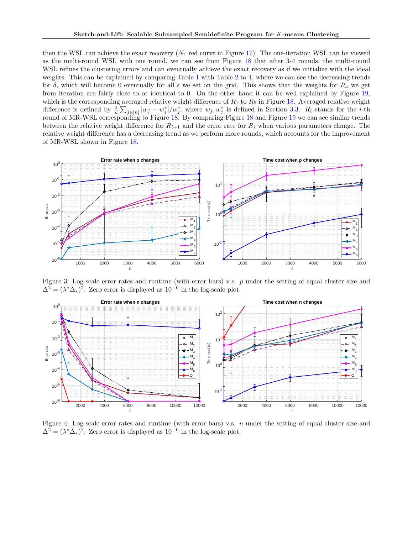<span id="page-25-0"></span>then the WSL can achieve the exact recovery  $(N_1 \text{ red curve in Figure 17})$ . The one-iteration WSL can be viewed as the multi-round WSL with one round, we can see from Figure [18](#page-30-0) that after 3-4 rounds, the multi-round WSL refines the clustering errors and can eventually achieve the exact recovery as if we initialize with the ideal weights. This can be explained by comparing Table [1](#page-31-0) with Table [2](#page-32-0) to [4,](#page-32-0) where we can see the decreasing trends for  $\delta$ , which will become 0 eventually for all  $\epsilon$  we set on the grid. This shows that the weights for  $R_4$  we get from iteration are fairly close to or identical to 0. On the other hand it can be well explained by Figure [19,](#page-31-0) which is the corresponding averaged relative weight difference of  $R_1$  to  $R_5$  in Figure [18.](#page-30-0) Averaged relative weight difference is defined by  $\frac{1}{n}\sum_{j\in[n]}|w_j-w_j^*|/w_j^*$  where  $w_j, w_j^*$  is defined in Section [3.3.](#page-4-0)  $R_i$  stands for the *i*-th round of MR-WSL corresponding to Figure [18.](#page-30-0) By comparing Figure [18](#page-30-0) and Figure [19](#page-31-0) we can see similar trends between the relative weight difference for  $R_{i+1}$  and the error rate for  $R_i$  when various parameters change. The relative weight difference has a decreasing trend as we perform more rounds, which accounts for the improvement of MR-WSL shown in Figure [18.](#page-30-0)



Figure 3: Log-scale error rates and runtime (with error bars) v.s. p under the setting of equal cluster size and  $\Delta^2 = (\lambda^* \bar{\Delta}_*)^2$ . Zero error is displayed as  $10^{-6}$  in the log-scale plot.



Figure 4: Log-scale error rates and runtime (with error bars) v.s. n under the setting of equal cluster size and  $\Delta^2 = (\lambda^* \bar{\Delta}_*)^2$ . Zero error is displayed as  $10^{-6}$  in the log-scale plot.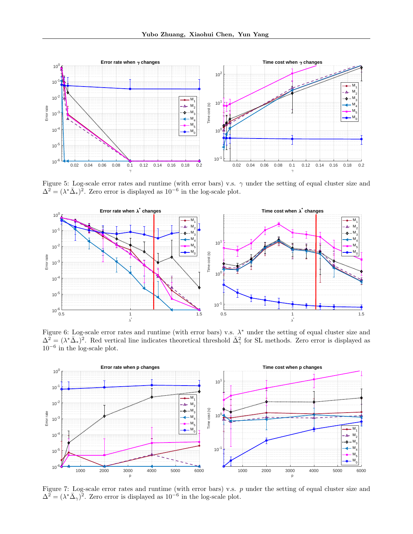<span id="page-26-0"></span>

Figure 5: Log-scale error rates and runtime (with error bars) v.s.  $\gamma$  under the setting of equal cluster size and  $\Delta^2 = (\lambda^* \bar{\Delta}_*)^2$ . Zero error is displayed as  $10^{-6}$  in the log-scale plot.



Figure 6: Log-scale error rates and runtime (with error bars) v.s.  $\lambda^*$  under the setting of equal cluster size and  $\Delta^2 = (\lambda^* \bar{\Delta}_*)^2$ . Red vertical line indicates theoretical threshold  $\bar{\Delta}^2_{\gamma}$  for SL methods. Zero error is displayed as  $10^{-6}$  in the log-scale plot.



Figure 7: Log-scale error rates and runtime (with error bars) v.s.  $p$  under the setting of equal cluster size and  $\Delta^2 = (\lambda^* \bar{\Delta}_{\gamma})^2$ . Zero error is displayed as  $10^{-6}$  in the log-scale plot.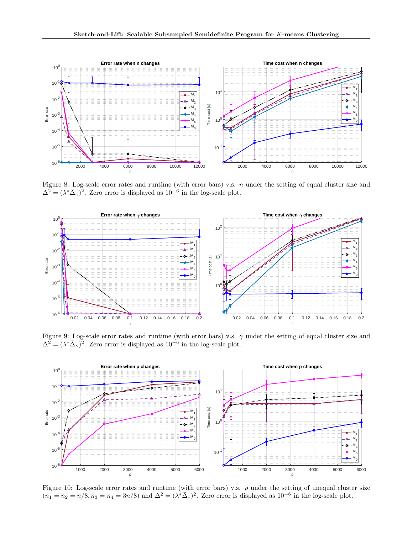<span id="page-27-0"></span>

Figure 8: Log-scale error rates and runtime (with error bars) v.s.  $n$  under the setting of equal cluster size and  $\Delta^2 = (\lambda^* \bar{\Delta}_{\gamma})^2$ . Zero error is displayed as  $10^{-6}$  in the log-scale plot.



Figure 9: Log-scale error rates and runtime (with error bars) v.s.  $\gamma$  under the setting of equal cluster size and  $\Delta^2 = (\lambda^* \bar{\Delta}_{\gamma})^2$ . Zero error is displayed as  $10^{-6}$  in the log-scale plot.



Figure 10: Log-scale error rates and runtime (with error bars) v.s.  $p$  under the setting of unequal cluster size  $(n_1 = n_2 = n/\tilde{8}, n_3 = n_4 = 3n/8)$  and  $\Delta^2 = (\lambda^* \overline{\Delta}_*)^2$ . Zero error is displayed as  $10^{-6}$  in the log-scale plot.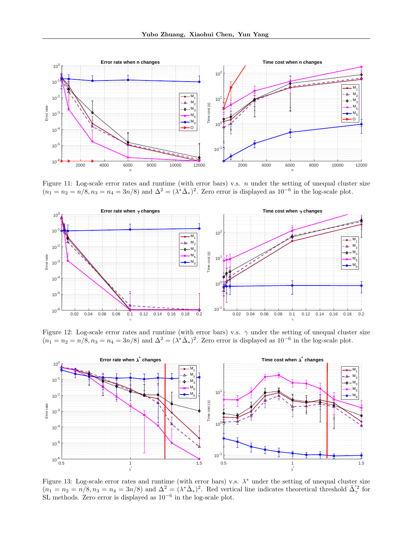<span id="page-28-0"></span>

Figure 11: Log-scale error rates and runtime (with error bars) v.s.  $n$  under the setting of unequal cluster size  $(n_1 = n_2 = n/\tilde{8}, n_3 = n_4 = 3n/8)$  and  $\Delta^2 = (\lambda^* \bar{\Delta}_*)^2$ . Zero error is displayed as  $10^{-6}$  in the log-scale plot.



Figure 12: Log-scale error rates and runtime (with error bars) v.s.  $\gamma$  under the setting of unequal cluster size  $(n_1 = n_2 = n/\tilde{8}, n_3 = n_4 = 3n/8)$  and  $\Delta^2 = (\lambda^* \overline{\Delta}_*)^2$ . Zero error is displayed as  $10^{-6}$  in the log-scale plot.



Figure 13: Log-scale error rates and runtime (with error bars) v.s.  $\lambda^*$  under the setting of unequal cluster size  $(n_1 = n_2 = n/8, n_3 = n_4 = 3n/8)$  and  $\Delta^2 = (\lambda^* \bar{\Delta}_*)^2$ . Red vertical line indicates theoretical threshold  $\bar{\Delta}'^2_{\gamma}$  for SL methods. Zero error is displayed as  $10^{-6}$  in the log-scale plot.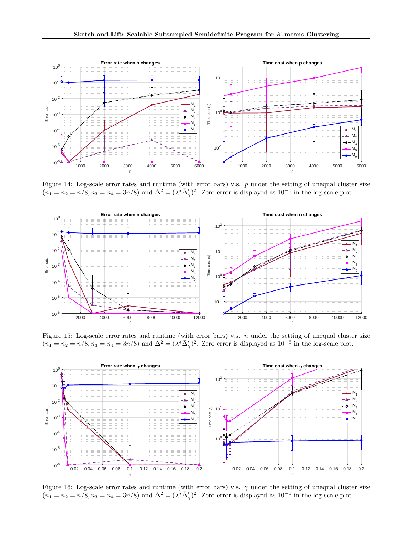<span id="page-29-0"></span>

Figure 14: Log-scale error rates and runtime (with error bars) v.s.  $p$  under the setting of unequal cluster size  $(n_1 = n_2 = n/\tilde{8}, n_3 = n_4 = 3n/8)$  and  $\Delta^2 = (\lambda^* \overline{\Delta}'_{\gamma})^2$ . Zero error is displayed as  $10^{-6}$  in the log-scale plot.



Figure 15: Log-scale error rates and runtime (with error bars) v.s.  $n$  under the setting of unequal cluster size  $(n_1 = n_2 = n/\tilde{8}, n_3 = n_4 = 3n/8)$  and  $\Delta^2 = (\lambda^* \overline{\Delta}'_{\gamma})^2$ . Zero error is displayed as  $10^{-6}$  in the log-scale plot.



Figure 16: Log-scale error rates and runtime (with error bars) v.s.  $\gamma$  under the setting of unequal cluster size  $(n_1 = n_2 = n/\tilde{8}, n_3 = n_4 = 3n/8)$  and  $\Delta^2 = (\lambda^* \overline{\Delta}'_{\gamma})^2$ . Zero error is displayed as  $10^{-6}$  in the log-scale plot.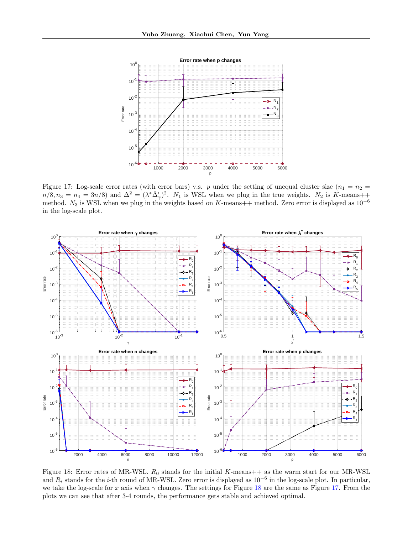<span id="page-30-0"></span>

Figure 17: Log-scale error rates (with error bars) v.s. p under the setting of unequal cluster size  $(n_1 = n_2 =$  $n/8, n_3 = n_4 = 3n/8$  and  $\Delta^2 = (\lambda^* \overline{\Delta}'_{\gamma})^2$ .  $N_1$  is WSL when we plug in the true weights.  $N_2$  is K-means++ method.  $N_3$  is WSL when we plug in the weights based on K-means++ method. Zero error is displayed as  $10^{-6}$ in the log-scale plot.



Figure 18: Error rates of MR-WSL.  $R_0$  stands for the initial K-means++ as the warm start for our MR-WSL and  $R_i$  stands for the *i*-th round of MR-WSL. Zero error is displayed as  $10^{-6}$  in the log-scale plot. In particular, we take the log-scale for x axis when  $\gamma$  changes. The settings for Figure 18 are the same as Figure 17. From the plots we can see that after 3-4 rounds, the performance gets stable and achieved optimal.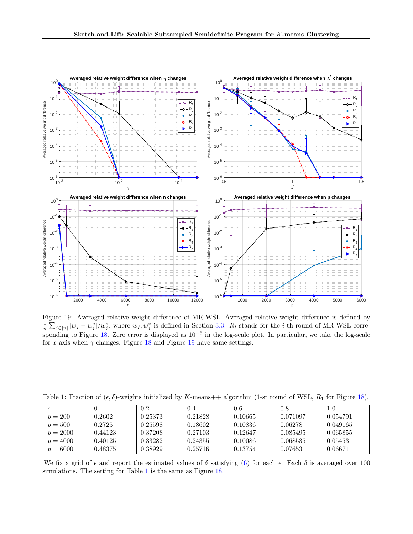<span id="page-31-0"></span>

Figure 19: Averaged relative weight difference of MR-WSL. Averaged relative weight difference is defined by  $\frac{1}{n}\sum_{j\in[n]}|w_j-w_j^*|/w_j^*$  where  $w_j, w_j^*$  is defined in Section [3.3.](#page-4-0)  $R_i$  stands for the *i*-th round of MR-WSL corre-sponding to Figure [18.](#page-30-0) Zero error is displayed as 10<sup>-6</sup> in the log-scale plot. In particular, we take the log-scale for x axis when  $\gamma$  changes. Figure [18](#page-30-0) and Figure 19 have same settings.

| Table 1: Fraction of $(\epsilon, \delta)$ -weights initialized by K-means++ algorithm (1-st round of WSL, $R_1$ for Figure 18). |  |  |  |  |  |  |  |
|---------------------------------------------------------------------------------------------------------------------------------|--|--|--|--|--|--|--|
|---------------------------------------------------------------------------------------------------------------------------------|--|--|--|--|--|--|--|

|            |         | 0.2     | 0.4     | 0.6     | 0.8      | $1.0\,$  |
|------------|---------|---------|---------|---------|----------|----------|
| $p = 200$  | 0.2602  | 0.25373 | 0.21828 | 0.10665 | 0.071097 | 0.054791 |
| $p = 500$  | 0.2725  | 0.25598 | 0.18602 | 0.10836 | 0.06278  | 0.049165 |
| $p = 2000$ | 0.44123 | 0.37208 | 0.27103 | 0.12647 | 0.085495 | 0.065855 |
| $p = 4000$ | 0.40125 | 0.33282 | 0.24355 | 0.10086 | 0.068535 | 0.05453  |
| $p = 6000$ | 0.48375 | 0.38929 | 0.25716 | 0.13754 | 0.07653  | 0.06671  |

We fix a grid of  $\epsilon$  and report the estimated values of  $\delta$  satisfying [\(6\)](#page-5-0) for each  $\epsilon$ . Each  $\delta$  is averaged over 100 simulations. The setting for Table 1 is the same as Figure [18.](#page-30-0)